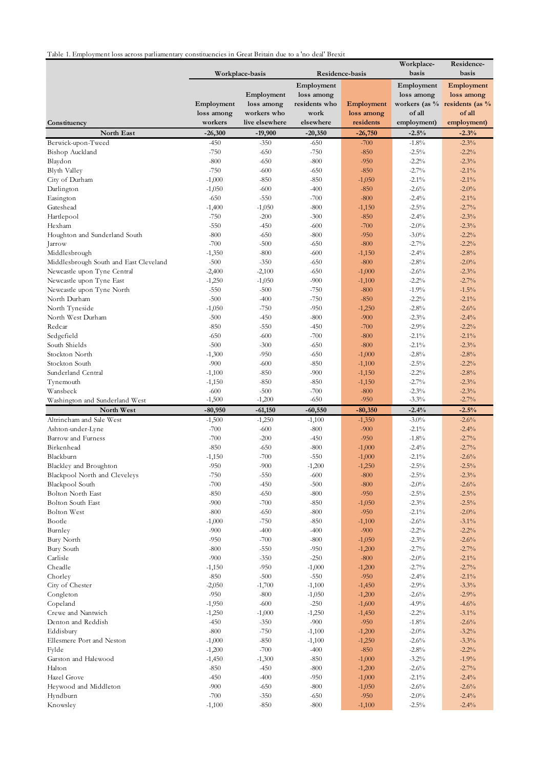Table 1. Employment loss across parliamentary constituencies in Great Britain due to a 'no deal' Brexit

|                                         |                    | Workplace-basis  |                  | Residence-basis      | Workplace-<br>basis | Residence-<br>basis                 |
|-----------------------------------------|--------------------|------------------|------------------|----------------------|---------------------|-------------------------------------|
|                                         |                    |                  |                  |                      |                     |                                     |
|                                         |                    |                  | Employment       |                      | Employment          | Employment                          |
|                                         |                    | Employment       | loss among       |                      | loss among          | loss among                          |
|                                         | Employment         | loss among       | residents who    | Employment           |                     | workers (as $\%$ residents (as $\%$ |
|                                         | loss among         | workers who      | work             | loss among           | of all              | of all                              |
| Constituency                            | workers            | live elsewhere   | elsewhere        | residents            | employment)         | employment)                         |
| North East                              | $-26,300$          | $-19,900$        | $-20,350$        | $-26,750$            | $-2.5%$             | $-2.3%$                             |
| Berwick-upon-Tweed                      | $-450$             | $-350$           | $-650$           | $-700$               | $-1.8%$             | $-2.3%$                             |
| Bishop Auckland                         | $-750$             | $-650$           | $-750$           | $-850$               | $-2.5\%$            | $-2.2%$                             |
| Blaydon                                 | $-800$             | $-650$           | $-800$           | $-950$               | $-2.2%$             | $-2.3%$                             |
| Blyth Valley                            | $-750$             | $-600$           | $-650$           | $-850$               | $-2.7%$             | $-2.1\%$                            |
| City of Durham                          | $-1,000$           | $-850$           | $-850$           | $-1,050$             | $-2.1\%$            | $-2.1\%$                            |
| Darlington                              | $-1,050$<br>$-650$ | $-600$<br>$-550$ | $-400$<br>$-700$ | $-850$<br>$-800$     | $-2.6%$<br>$-2.4%$  | $-2.0\%$<br>$-2.1\%$                |
| Easington<br>Gateshead                  | $-1,400$           | $-1,050$         | $-800$           | $-1,150$             | $-2.5%$             | $-2.7%$                             |
| Hartlepool                              | $-750$             | $-200$           | $-300$           | $-850$               | $-2.4%$             | $-2.3%$                             |
| Hexham                                  | $-550$             | $-450$           | $-600$           | $-700$               | $-2.0%$             | $-2.3%$                             |
| Houghton and Sunderland South           | $-800$             | $-650$           | $-800$           | $-950$               | $-3.0\%$            | $-2.2%$                             |
| Jarrow                                  | $-700$             | $-500$           | $-650$           | $-800$               | $-2.7%$             | $-2.2%$                             |
| Middlesbrough                           | $-1,350$           | $-800$           | $-600$           | $-1,150$             | $-2.4%$             | $-2.8%$                             |
| Middlesbrough South and East Cleveland  | $-500$             | $-350$           | $-650$           | $-800$               | $-2.8\%$            | $-2.0\%$                            |
| Newcastle upon Tyne Central             | $-2,400$           | $-2,100$         | $-650$           | $-1,000$             | $-2.6%$             | $-2.3%$                             |
| Newcastle upon Tyne East                | $-1,250$           | $-1,050$         | $-900$           | $-1,100$             | $-2.2%$             | $-2.7%$                             |
| Newcastle upon Tyne North               | $-550$             | $-500$           | $-750$           | $-800$               | $-1.9%$             | $-1.5%$                             |
| North Durham                            | $-500$             | $-400$           | $-750$           | $-850$               | $-2.2%$             | $-2.1\%$                            |
| North Tyneside                          | $-1,050$           | $-750$           | $-950$           | $-1,250$             | $-2.8%$             | $-2.6%$                             |
| North West Durham                       | $-500$             | $-450$           | $-800$           | $-900$               | $-2.3%$             | $-2.4%$                             |
| Redcar                                  | $-850$             | $-550$           | $-450$           | $-700$               | $-2.9%$             | $-2.2%$                             |
| Sedgefield                              | $-650$             | $-600$           | $-700$           | $-800$               | $-2.1\%$            | $-2.1\%$                            |
| South Shields                           | $-500$             | $-300$           | $-650$           | $-800$               | $-2.1\%$            | $-2.3%$                             |
| Stockton North                          | $-1,300$           | $-950$           | $-650$           | $-1,000$             | $-2.8%$             | $-2.8%$                             |
| Stockton South                          | $-900$             | $-600$           | $-850$           | $-1,100$             | $-2.5\%$            | $-2.2%$                             |
| Sunderland Central                      | $-1,100$           | $-850$           | $-900$           | $-1,150$             | $-2.2%$             | $-2.8%$                             |
| Tynemouth                               | $-1,150$           | $-850$           | $-850$           | $-1,150$             | $-2.7\%$            | $-2.3%$                             |
| Wansbeck                                | $-600$             | $-500$           | $-700$           | $-800$               | $-2.3%$             | $-2.3%$                             |
| Washington and Sunderland West          | $-1,500$           | $-1,200$         | $-650$           | $-950$               | $-3.3\%$            | $-2.7%$                             |
| North West                              | $-80,950$          | $-61,150$        | $-60,550$        | $-80,350$            | $-2.4%$             | $-2.5%$                             |
| Altrincham and Sale West                | $-1,500$           | $-1,250$         | $-1,100$         | $-1,350$             | $-3.0\%$            | $-2.6%$                             |
| Ashton-under-Lyne<br>Barrow and Furness | $-700$<br>$-700$   | $-600$           | $-800$<br>$-450$ | $-900$<br>$-950$     | $-2.1\%$<br>$-1.8%$ | $-2.4%$<br>$-2.7%$                  |
| Birkenhead                              | $-850$             | $-200$<br>$-650$ | $-800$           | $-1,000$             | $-2.4%$             | $-2.7%$                             |
| Blackburn                               | $-1,150$           | $-700$           | $-550$           | $-1,000$             | $-2.1\%$            | $-2.6%$                             |
| Blackley and Broughton                  | $-950$             | $-900$           | $-1,200$         | $-1,250$             | $-2.5\%$            | $-2.5%$                             |
| Blackpool North and Cleveleys           | $-750$             | $-550$           | $-600$           | $-800$               | $-2.5\%$            | $-2.3%$                             |
| Blackpool South                         | $-700$             | $-450$           | $-500$           | $-800$               | $-2.0\%$            | $-2.6%$                             |
| <b>Bolton North East</b>                | $-850$             | $-650$           | $-800$           | $-950$               | $-2.5\%$            | $-2.5%$                             |
| <b>Bolton South East</b>                | $-900$             | $-700$           | $-850$           | $-1,050$             | $-2.3\%$            | $-2.5%$                             |
| <b>Bolton West</b>                      | $-800$             | $-650$           | $-800$           | $-950$               | $-2.1\%$            | $-2.0\%$                            |
| Bootle                                  | $-1,000$           | $-750$           | $-850$           | $-1,100$             | $-2.6%$             | $-3.1\%$                            |
| Burnley                                 | $-900$             | $-400$           | $-400$           | $-900$               | $-2.2%$             | $-2.2%$                             |
| Bury North                              | $-950$             | $-700$           | $-800$           | $-1,050$             | $-2.3%$             | $-2.6%$                             |
| Bury South                              | $-800$             | $-550$           | $-950$           | $-1,200$             | $-2.7%$             | $-2.7%$                             |
| Carlisle                                | $-900$             | $-350$           | $-250$           | $-800$               | $-2.0\%$            | $-2.1\%$                            |
| Cheadle                                 | $-1,150$           | $-950$           | $-1,000$         | $-1,200$             | $-2.7\%$            | $-2.7%$                             |
| Chorley                                 | $-850$             | $-500$           | $-550$           | $-950$               | $-2.4%$             | $-2.1\%$                            |
| City of Chester                         | $-2,050$           | $-1,700$         | $-1,100$         | $-1,450$             | $-2.9%$             | $-3.3%$                             |
| Congleton                               | $-950$             | $-800$           | $-1,050$         | $-1,200$             | $-2.6\%$            | $-2.9%$                             |
| Copeland                                | $-1,950$           | $-600$           | $-250$           | $-1,600$             | $-4.9%$             | $-4.6%$                             |
| Crewe and Nantwich                      | $-1,250$           | $-1,000$         | $-1,250$         | $-1,450$             | $-2.2%$             | $-3.1\%$                            |
| Denton and Reddish                      | $-450$             | $-350$           | $-900$           | $-950$               | $-1.8\%$            | $-2.6%$                             |
| Eddisbury                               | $-800$             | $-750$           | $-1,100$         | $-1,200$             | $-2.0\%$            | $-3.2%$                             |
| Ellesmere Port and Neston               | $-1,000$           | $-850$           | $-1,100$         | $-1,250$             | $-2.6%$             | $-3.3%$                             |
| Fylde                                   | $-1,200$           | $-700$           | $-400$           | $-850$               | $-2.8\%$            | $-2.2%$                             |
| Garston and Halewood                    | $-1,450$           | $-1,300$         | $-850$           | $-1,000$             | $-3.2%$             | $-1.9%$                             |
| Halton                                  | $-850$             | $-450$           | $-800$           | $-1,200$             | $-2.6%$             | $-2.7%$                             |
| Hazel Grove                             | $-450$<br>$-900$   | $-400$<br>$-650$ | $-950$<br>$-800$ | $-1,000$<br>$-1,050$ | $-2.1\%$<br>$-2.6%$ | $-2.4%$<br>$-2.6%$                  |
| Heywood and Middleton<br>Hyndburn       | $-700$             | $-350$           | $-650$           | $-950$               | $-2.0\%$            | $-2.4%$                             |
| Knowsley                                | $-1,100$           | $-850$           | $-800$           | $-1,100$             | $-2.5\%$            | $-2.4%$                             |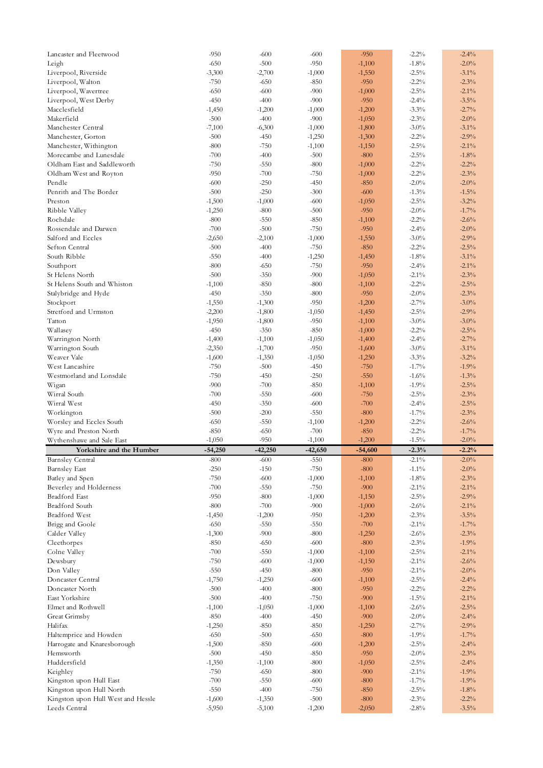| Lancaster and Fleetwood                             | $-950$               | -600                 | -600               | $-950$             | $-2.2%$             | $-2.4%$            |
|-----------------------------------------------------|----------------------|----------------------|--------------------|--------------------|---------------------|--------------------|
| Leigh                                               | $-650$               | $-500$               | $-950$             | $-1,100$           | $-1.8%$             | $-2.0%$            |
| Liverpool, Riverside                                | $-3,300$             | $-2,700$             | $-1,000$           | $-1,550$           | $-2.5\%$            | $-3.1\%$           |
| Liverpool, Walton                                   | $-750$               | $-650$               | $-850$             | $-950$             | $-2.2%$             | $-2.3%$            |
| Liverpool, Wavertree                                | $-650$               | $-600$               | $-900$             | $-1,000$           | $-2.5%$             | $-2.1\%$           |
| Liverpool, West Derby                               | $-450$               | $-400$               | $-900$             | $-950$             | $-2.4%$             | $-3.5%$            |
| Macclesfield                                        | $-1,450$             | $-1,200$             | $-1,000$           | $-1,200$           | $-3.3\%$            | $-2.7%$            |
| Makerfield                                          | $-500$               | $-400$               | $-900$             | $-1,050$           | $-2.3\%$            | $-2.0\%$           |
| Manchester Central                                  | $-7,100$             | $-6,300$             | $-1,000$           | $-1,800$           | $-3.0\%$            | $-3.1\%$           |
| Manchester, Gorton                                  | $-500$               | $-450$               | $-1,250$           | $-1,300$           | $-2.2%$             | $-2.9%$            |
| Manchester, Withington                              | $-800$               | $-750$               | $-1,100$           | $-1,150$           | $-2.5%$             | $-2.1\%$           |
| Morecambe and Lunesdale                             | $-700$               | $-400$               | $-500$             | $-800$             | $-2.5%$             | $-1.8%$            |
| Oldham East and Saddleworth                         | $-750$               | $-550$               | $-800$             | $-1,000$           | $-2.2%$             | $-2.2%$            |
|                                                     |                      |                      |                    |                    | $-2.2%$             |                    |
| Oldham West and Royton                              | $-950$               | $-700$               | $-750$             | $-1,000$           |                     | $-2.3%$            |
| Pendle                                              | $-600$               | $-250$               | $-450$             | $-850$             | $-2.0\%$            | $-2.0\%$           |
| Penrith and The Border                              | $-500$               | $-250$               | $-300$             | $-600$             | $-1.3%$             | $-1.5%$            |
| Preston                                             | $-1,500$             | $-1,000$             | $-600$             | $-1,050$           | $-2.5\%$            | $-3.2%$            |
| Ribble Valley                                       | $-1,250$             | $-800$               | $-500$             | $-950$             | $-2.0\%$            | $-1.7%$            |
| Rochdale                                            | $-800$               | $-550$               | $-850$             | $-1,100$           | $-2.2%$             | $-2.6%$            |
| Rossendale and Darwen                               | $-700$               | $-500$               | $-750$             | $-950$             | $-2.4%$             | $-2.0\%$           |
| Salford and Eccles                                  | $-2,650$             | $-2,100$             | $-1,000$           | $-1,550$           | $-3.0\%$            | $-2.9%$            |
| Sefton Central                                      | $-500$               | $-400$               | $-750$             | $-850$             | $-2.2%$             | $-2.5%$            |
| South Ribble                                        | $-550$               | $-400$               | $-1,250$           | $-1,450$           | $-1.8\%$            | $-3.1\%$           |
| Southport                                           | $-800$               | $-650$               | $-750$             | $-950$             | $-2.4%$             | $-2.1\%$           |
| St Helens North                                     | $-500$               | $-350$               | $-900$             | $-1,050$           | $-2.1\%$            | $-2.3%$            |
| St Helens South and Whiston                         | $-1,100$             | $-850$               | $-800$             | $-1,100$           | $-2.2%$             | $-2.5%$            |
| Stalybridge and Hyde                                | $-450$               | $-350$               | $-800$             | $-950$             | $-2.0\%$            | $-2.3%$            |
| Stockport                                           | $-1,550$             | $-1,300$             | $-950$             | $-1,200$           | $-2.7%$             | $-3.0\%$           |
| Stretford and Urmston                               | $-2,200$             | $-1,800$             | $-1,050$           | $-1,450$           | $-2.5\%$            | $-2.9%$            |
| Tatton                                              | $-1,950$             | $-1,800$             | $-950$             | $-1,100$           | $-3.0\%$            | $-3.0\%$           |
| Wallasey                                            | $-450$               | $-350$               | $-850$             | $-1,000$           | $-2.2%$             | $-2.5%$            |
| Warrington North                                    | $-1,400$             | $-1,100$             | $-1,050$           | $-1,400$           | $-2.4%$             | $-2.7%$            |
| Warrington South                                    | $-2,350$             | $-1,700$             | $-950$             | $-1,600$           | $-3.0\%$            | $-3.1\%$           |
| Weaver Vale                                         | $-1,600$             | $-1,350$             | $-1,050$           | $-1,250$           | $-3.3%$             | $-3.2%$            |
| West Lancashire                                     | $-750$               | $-500$               | $-450$             | $-750$             | $-1.7\%$            | $-1.9%$            |
| Westmorland and Lonsdale                            | $-750$               | $-450$               | $-250$             | $-550$             | $-1.6%$             | $-1.3%$            |
|                                                     |                      |                      |                    |                    |                     |                    |
|                                                     |                      |                      |                    |                    |                     |                    |
| Wigan                                               | $-900$               | $-700$               | $-850$             | $-1,100$           | $-1.9\%$            | $-2.5%$            |
| Wirral South                                        | $-700$               | $-550$               | $-600$             | $-750$             | $-2.5\%$            | $-2.3%$            |
| Wirral West                                         | $-450$               | $-350$               | $-600$             | $-700$             | $-2.4%$             | $-2.5%$            |
| Workington                                          | $-500$               | $-200$               | $-550$             | $-800$             | $-1.7\%$            | $-2.3%$            |
| Worsley and Eccles South                            | $-650$               | $-550$               | $-1,100$           | $-1,200$           | $-2.2%$             | $-2.6%$            |
| Wyre and Preston North                              | $-850$               | $-650$               | $-700$             | $-850$             | $-2.2%$             | $-1.7%$            |
| Wythenshawe and Sale East                           | $-1,050$             | $-950$               | $-1,100$           | $-1,200$           | $-1.5\%$            | $-2.0\%$           |
| Yorkshire and the Humber                            | $-54,250$            | $-42,250$            | $-42,650$          | $-54,600$          | $-2.3%$             | $-2.2%$            |
| Barnsley Central                                    | -800                 | -600                 | -550               | -800               | $-2.1\%$            | $-2.0\%$           |
| <b>Barnsley East</b>                                | $-250$               | $-150$               | $-750$             | $-800$             | $-1.1\%$            | $-2.0\%$           |
| Batley and Spen                                     | $-750$               | $-600$               | $-1,000$           | $-1,100$           | $-1.8%$             | $-2.3%$            |
| Beverley and Holderness                             | $-700$               | $-550$               | $-750$             | $-900$             | $-2.1\%$            | $-2.1\%$           |
| <b>Bradford East</b>                                | $-950$               | $-800$               | $-1,000$           | $-1,150$           | $-2.5\%$            | $-2.9%$            |
| <b>Bradford South</b>                               | $-800$               | $-700$               | $-900$             | $-1,000$           | $-2.6%$             | $-2.1\%$           |
| Bradford West                                       | $-1,450$             | $-1,200$             | $-950$             | $-1,200$           | $-2.3%$             | $-3.5%$            |
| Brigg and Goole                                     | $-650$               | $-550$               | $-550$             | $-700$             | $-2.1\%$            | $-1.7\%$           |
| Calder Valley                                       | $-1,300$             | $-900$               | $-800$             | $-1,250$           | $-2.6%$             | $-2.3%$            |
| Cleethorpes                                         | $-850$               | $-650$               | $-600$             | $-800$             | $-2.3\%$            | $-1.9%$            |
| Colne Valley                                        | $-700$               | $-550$               | $-1,000$           | $-1,100$           |                     | $-2.1\%$           |
|                                                     | $-750$               |                      |                    |                    | $-2.5\%$            |                    |
| Dewsbury                                            |                      | $-600$               | $-1,000$           | $-1,150$           | $-2.1\%$            | $-2.6%$            |
| Don Valley                                          | $-550$               | $-450$               | $-800$             | $-950$             | $-2.1\%$            | $-2.0\%$           |
| Doncaster Central                                   | $-1,750$             | $-1,250$             | $-600$             | $-1,100$           | $-2.5\%$            | $-2.4%$            |
| Doncaster North                                     | $-500$               | $-400$               | $-800$             | $-950$             | $-2.2%$             | $-2.2%$            |
| East Yorkshire                                      | $-500$               | $-400$               | $-750$             | $-900$             | $-1.5\%$            | $-2.1\%$           |
| Elmet and Rothwell                                  | $-1,100$             | $-1,050$             | $-1,000$           | $-1,100$           | $-2.6%$             | $-2.5%$            |
| Great Grimsby                                       | $-850$               | $-400$               | $-450$             | $-900$             | $-2.0\%$            | $-2.4%$            |
| Halifax                                             | $-1,250$             | $-850$               | $-850$             | $-1,250$           | $-2.7%$             | $-2.9%$            |
| Haltemprice and Howden                              | $-650$               | $-500$               | $-650$             | $-800$             | $-1.9%$             | $-1.7\%$           |
| Harrogate and Knaresborough                         | $-1,500$             | $-850$               | $-600$             | $-1,200$           | $-2.5\%$            | $-2.4%$            |
| Hemsworth                                           | $-500$               | $-450$               | $-850$             | $-950$             | $-2.0\%$            | $-2.3%$            |
| Huddersfield                                        | $-1,350$             | $-1,100$             | $-800$             | $-1,050$           | $-2.5\%$            | $-2.4%$            |
| Keighley                                            | $-750$               | $-650$               | $-800$             | $-900$             | $-2.1\%$            | $-1.9%$            |
| Kingston upon Hull East                             | $-700$               | $-550$               | $-600$             | $-800$             | $-1.7\%$            | $-1.9%$            |
| Kingston upon Hull North                            | $-550$               | $-400$               | $-750$             | $-850$             | $-2.5\%$            | $-1.8\%$           |
| Kingston upon Hull West and Hessle<br>Leeds Central | $-1,600$<br>$-5,950$ | $-1,350$<br>$-5,100$ | $-500$<br>$-1,200$ | $-800$<br>$-2,050$ | $-2.3\%$<br>$-2.8%$ | $-2.2%$<br>$-3.5%$ |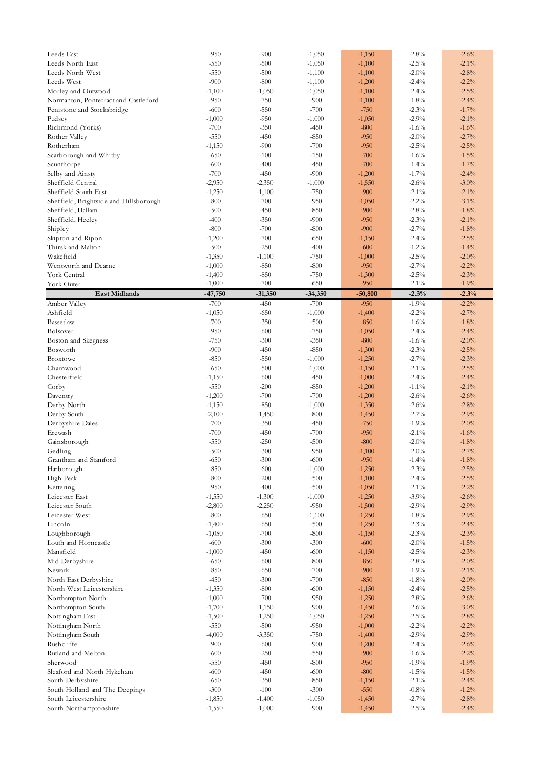| Leeds East                             | $-950$    | $-900$    | $-1,050$  | $-1,150$  | $-2.8%$  | $-2.6%$           |
|----------------------------------------|-----------|-----------|-----------|-----------|----------|-------------------|
| Leeds North East                       | $-550$    | $-500$    | $-1,050$  | $-1,100$  | $-2.5%$  | $-2.1\%$          |
| Leeds North West                       | $-550$    | $-500$    | $-1,100$  | $-1,100$  | $-2.0\%$ | $-2.8%$           |
| Leeds West                             | $-900$    | $-800$    | $-1,100$  | $-1,200$  | $-2.4%$  | $-2.2%$           |
|                                        |           |           |           |           |          |                   |
| Morley and Outwood                     | $-1,100$  | $-1,050$  | $-1,050$  | $-1,100$  | $-2.4%$  | $-2.5%$           |
| Normanton, Pontefract and Castleford   | $-950$    | $-750$    | $-900$    | $-1,100$  | $-1.8%$  | $-2.4%$           |
| Penistone and Stocksbridge             | $-600$    | $-550$    | $-700$    | $-750$    | $-2.3%$  | $-1.7%$           |
| Pudsey                                 | $-1,000$  | $-950$    | $-1,000$  | $-1,050$  | $-2.9%$  | $-2.1\%$          |
| Richmond (Yorks)                       | $-700$    | $-350$    | $-450$    | $-800$    | $-1.6%$  | $-1.6%$           |
| Rother Valley                          | $-550$    | $-450$    | $-850$    | $-950$    | $-2.0\%$ | $-2.7%$           |
|                                        |           |           |           |           |          |                   |
| Rotherham                              | $-1,150$  | $-900$    | $-700$    | $-950$    | $-2.5\%$ | $-2.5%$           |
| Scarborough and Whitby                 | $-650$    | $-100$    | $-150$    | $-700$    | $-1.6%$  | $-1.5%$           |
| Scunthorpe                             | $-600$    | $-400$    | $-450$    | $-700$    | $-1.4%$  | $-1.7%$           |
| Selby and Ainsty                       | $-700$    | $-450$    | $-900$    | $-1,200$  | $-1.7\%$ | $-2.4%$           |
| Sheffield Central                      | $-2,950$  | $-2,350$  | $-1,000$  | $-1,550$  | $-2.6%$  | $-3.0\%$          |
|                                        |           |           |           |           |          |                   |
| Sheffield South East                   | $-1,250$  | $-1,100$  | $-750$    | $-900$    | $-2.1\%$ | $-2.1\%$          |
| Sheffield, Brightside and Hillsborough | $-800$    | $-700$    | $-950$    | $-1,050$  | $-2.2%$  | $-3.1\%$          |
| Sheffield, Hallam                      | $-500$    | $-450$    | $-850$    | $-900$    | $-2.8%$  | $-1.8%$           |
| Sheffield, Heeley                      | $-400$    | $-350$    | $-900$    | $-950$    | $-2.3%$  | $-2.1\%$          |
| Shipley                                | $-800$    | $-700$    | $-800$    | $-900$    | $-2.7%$  | $-1.8%$           |
|                                        |           |           |           |           |          |                   |
| Skipton and Ripon                      | $-1,200$  | $-700$    | $-650$    | $-1,150$  | $-2.4%$  | $-2.5%$           |
| Thirsk and Malton                      | $-500$    | $-250$    | $-400$    | $-600$    | $-1.2%$  | $-1.4%$           |
| Wakefield                              | $-1,350$  | $-1,100$  | $-750$    | $-1,000$  | $-2.5\%$ | $-2.0\%$          |
| Wentworth and Dearne                   | $-1,000$  | $-850$    | $-800$    | $-950$    | $-2.7%$  | $-2.2%$           |
| York Central                           | $-1,400$  | $-850$    | $-750$    | $-1,300$  | $-2.5\%$ | $-2.3%$           |
| York Outer                             | $-1,000$  | $-700$    | $-650$    | $-950$    | $-2.1\%$ | $-1.9%$           |
|                                        |           |           |           |           |          |                   |
| <b>East Midlands</b>                   | $-47,750$ | $-31,350$ | $-34,350$ | $-50,800$ | $-2.3%$  | $-2.3%$           |
| Amber Valley                           | $-700$    | $-450$    | $-700$    | $-950$    | $-1.9\%$ | $-2.2%$           |
| Ashfield                               | $-1,050$  | $-650$    | $-1,000$  | $-1,400$  | $-2.2%$  | $-2.7%$           |
| Bassetlaw                              | $-700$    | $-350$    | $-500$    | $-850$    | $-1.6%$  | $-1.8%$           |
| Bolsover                               | $-950$    | $-600$    | $-750$    | $-1,050$  | $-2.4%$  | $-2.4%$           |
|                                        |           |           |           |           |          |                   |
| Boston and Skegness                    | $-750$    | $-300$    | $-350$    | $-800$    | $-1.6%$  | $-2.0%$           |
| Bosworth                               | $-900$    | $-450$    | $-850$    | $-1,300$  | $-2.3%$  | $-2.5%$           |
| <b>Broxtowe</b>                        | $-850$    | $-550$    | $-1,000$  | $-1,250$  | $-2.7%$  | $-2.3%$           |
| Charnwood                              | $-650$    | $-500$    | $-1,000$  | $-1,150$  | $-2.1\%$ | $-2.5%$           |
| Chesterfield                           | $-1,150$  | $-600$    | $-450$    | $-1,000$  | $-2.4%$  | $-2.4%$           |
|                                        |           |           |           |           |          |                   |
| Corby                                  | $-550$    | $-200$    | $-850$    | $-1,200$  | $-1.1\%$ | $-2.1\%$          |
| Daventry                               | $-1,200$  | $-700$    | $-700$    | $-1,200$  | $-2.6%$  | $-2.6%$           |
| Derby North                            | $-1,150$  | $-850$    | $-1,000$  | $-1,350$  | $-2.6%$  | $-2.8%$           |
| Derby South                            | $-2,100$  | $-1,450$  | $-800$    | $-1,450$  | $-2.7%$  | $-2.9%$           |
| Derbyshire Dales                       | $-700$    | $-350$    | $-450$    | $-750$    | $-1.9%$  | $-2.0\%$          |
| Erewash                                | $-700$    | $-450$    | $-700$    | $-950$    | $-2.1\%$ | $-1.6%$           |
|                                        |           |           |           |           |          |                   |
| Gainsborough                           | $-550$    | $-250$    | $-500$    | $-800$    | $-2.0\%$ | $-1.8%$           |
| Gedling                                | $-500$    | $-300$    | $-950$    | $-1,100$  | $-2.0\%$ | $-2.7%$           |
| Grantham and Stamford                  | $-650$    | $-300$    | $-600$    | $-950$    | $-1.4\%$ | $\textbf{-1.8}\%$ |
| Harborough                             | $-850$    | $-600$    | $-1,000$  | $-1,250$  | $-2.3\%$ | $-2.5%$           |
| High Peak                              | $-800$    | $-200$    | $-500$    | $-1,100$  | $-2.4%$  | $-2.5%$           |
|                                        | $-950$    | $-400$    | $-500$    | $-1,050$  | $-2.1\%$ | $-2.2%$           |
| Kettering                              |           |           |           |           |          |                   |
| Leicester East                         | $-1,550$  | $-1,300$  | $-1,000$  | $-1,250$  | $-3.9%$  | $-2.6%$           |
| Leicester South                        | $-2,800$  | $-2,250$  | $-950$    | $-1,500$  | $-2.9%$  | $-2.9%$           |
| Leicester West                         | $-800$    | $-650$    | $-1,100$  | $-1,250$  | $-1.8%$  | $-2.9%$           |
| Lincoln                                | $-1,400$  | $-650$    | $-500$    | $-1,250$  | $-2.3%$  | $-2.4%$           |
| Loughborough                           | $-1,050$  | $-700$    | $-800$    | $-1,150$  | $-2.3%$  | $-2.3%$           |
|                                        |           |           |           |           |          |                   |
| Louth and Horncastle                   | $-600$    | $-300$    | $-300$    | $-600$    | $-2.0\%$ | $-1.5%$           |
| Mansfield                              | $-1,000$  | $-450$    | $-600$    | $-1,150$  | $-2.5\%$ | $-2.3%$           |
| Mid Derbyshire                         | $-650$    | $-600$    | $-800$    | $-850$    | $-2.8%$  | $-2.0%$           |
| Newark                                 | $-850$    | $-650$    | $-700$    | $-900$    | $-1.9%$  | $-2.1\%$          |
| North East Derbyshire                  | $-450$    | $-300$    | $-700$    | $-850$    | $-1.8%$  | $-2.0%$           |
| North West Leicestershire              | $-1,350$  | $-800$    | $-600$    | $-1,150$  | $-2.4%$  | $-2.5%$           |
|                                        |           |           |           |           |          |                   |
| Northampton North                      | $-1,000$  | $-700$    | $-950$    | $-1,250$  | $-2.8%$  | $-2.6%$           |
| Northampton South                      | $-1,700$  | $-1,150$  | $-900$    | $-1,450$  | $-2.6%$  | $-3.0%$           |
| Nottingham East                        | $-1,500$  | $-1,250$  | $-1,050$  | $-1,250$  | $-2.5\%$ | $-2.8%$           |
| Nottingham North                       | $-550$    | $-500$    | $-950$    | $-1,000$  | $-2.2%$  | $-2.2%$           |
| Nottingham South                       | $-4,000$  | $-3,350$  | $-750$    | $-1,400$  | $-2.9%$  | $-2.9%$           |
|                                        |           |           |           |           |          |                   |
| Rushcliffe                             | $-900$    | $-600$    | $-900$    | $-1,200$  | $-2.4%$  | $-2.6%$           |
| Rutland and Melton                     | $-600$    | $-250$    | $-550$    | $-900$    | $-1.6%$  | $-2.2%$           |
| Sherwood                               | $-550$    | $-450$    | $-800$    | $-950$    | $-1.9%$  | $-1.9%$           |
| Sleaford and North Hykeham             | $-600$    | $-450$    | $-600$    | $-800$    | $-1.5\%$ | $-1.5%$           |
| South Derbyshire                       | $-650$    | $-350$    | $-850$    | $-1,150$  | $-2.1\%$ | $-2.4\%$          |
| South Holland and The Deepings         | $-300$    | $-100$    | $-300$    | $-550$    | $-0.8\%$ | $-1.2%$           |
|                                        |           |           |           |           |          |                   |
| South Leicestershire                   | $-1,850$  | $-1,400$  | $-1,050$  | $-1,450$  | $-2.7%$  | $-2.8%$           |
| South Northamptonshire                 | $-1,550$  | $-1,000$  | $-900$    | $-1,450$  | $-2.5%$  | $-2.4%$           |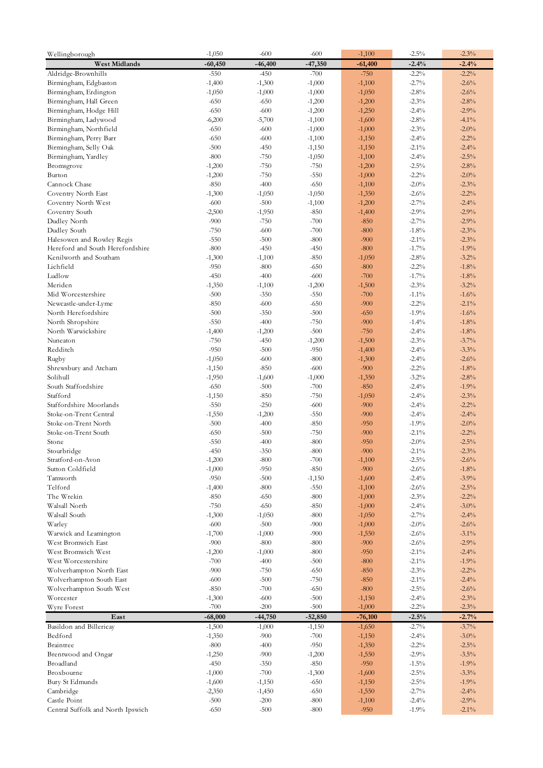| Wellingborough                                    | $-1,050$           | $-600$             | $-600$           | $-1,100$         | $-2.5%$             | $-2.3%$            |
|---------------------------------------------------|--------------------|--------------------|------------------|------------------|---------------------|--------------------|
| <b>West Midlands</b>                              | $-60,450$          | $-46,400$          | $-47,350$        | $-61,400$        | $-2.4%$             | $-2.4%$            |
| Aldridge-Brownhills                               | $-550$             | $-450$             | $-700$           | $-750$           | $-2.2%$             | $-2.2%$            |
| Birmingham, Edgbaston                             | $-1,400$           | $-1,300$           | $-1,000$         | $-1,100$         | $-2.7\%$            | $-2.6%$            |
| Birmingham, Erdington                             | $-1,050$           | $-1,000$           | $-1,000$         | $-1,050$         | $-2.8%$             | $-2.6%$            |
| Birmingham, Hall Green                            | $-650$             | $-650$             | $-1,200$         | $-1,200$         | $-2.3\%$            | $-2.8%$            |
| Birmingham, Hodge Hill                            | $-650$             | $-600$             | $-1,200$         | $-1,250$         | $-2.4\%$            | $-2.9%$            |
| Birmingham, Ladywood                              | $-6,200$           | $-5,700$           | $-1,100$         | $-1,600$         | $-2.8%$             | $-4.1%$            |
| Birmingham, Northfield                            | $-650$             | $-600$             | $-1,000$         | $-1,000$         | $-2.3%$             | $-2.0%$            |
| Birmingham, Perry Barr                            | $-650$             | $-600$             | $-1,100$         | $-1,150$         | $-2.4%$             | $-2.2%$            |
| Birmingham, Selly Oak                             | $-500$             | $-450$             | $-1,150$         | $-1,150$         | $-2.1\%$            | $-2.4%$            |
| Birmingham, Yardley                               | $-800$             | $-750$             | $-1,050$         | $-1,100$         | $-2.4%$             | $-2.5%$            |
| Bromsgrove                                        | $-1,200$           | $-750$             | $-750$           | $-1,200$         | $-2.5\%$            | $-2.8%$            |
| Burton                                            | $-1,200$           | $-750$             | $-550$           | $-1,000$         | $-2.2%$             | $-2.0\%$           |
| Cannock Chase                                     | $-850$             | $-400$             | $-650$           | $-1,100$         | $-2.0\%$            | $-2.3%$            |
| Coventry North East                               | $-1,300$           | $-1,050$           | $-1,050$         | $-1,350$         | $-2.6%$             | $-2.2%$            |
| Coventry North West                               | $-600$             | $-500$             | $-1,100$         | $-1,200$         | $-2.7\%$            | $-2.4%$            |
| Coventry South                                    | $-2,500$           | $-1,950$           | $-850$           | $-1,400$         | $-2.9%$             | $-2.9%$            |
| Dudley North                                      | $-900$             | $-750$             | $-700$           | $-850$           | $-2.7\%$            | $-2.9%$            |
| Dudley South                                      | $-750$             | $-600$             | $-700$           | $-800$           | $-1.8%$             | $-2.3%$            |
| Halesowen and Rowley Regis                        | $-550$             | $-500$             | $-800$           | $-900$           | $-2.1\%$            | $-2.3%$            |
| Hereford and South Herefordshire                  | $-800$             | $-450$             | $-450$           | $-800$           | $-1.7%$             | $-1.9%$            |
| Kenilworth and Southam                            | $-1,300$           | $-1,100$           | $-850$           | $-1,050$         | $-2.8\%$            | $-3.2%$            |
| Lichfield                                         | $-950$             | $-800$             | $-650$           | $-800$           | $-2.2%$             | $-1.8%$            |
| Ludlow                                            | $-450$             | $-400$             | $-600$           | $-700$           | $-1.7\%$            | $-1.8%$            |
| Meriden                                           | $-1,350$           | $-1,100$           | $-1,200$         | $-1,500$         | $-2.3%$             | $-3.2%$            |
| Mid Worcestershire                                | $-500$             | $-350$             | $-550$           | $-700$           | $-1.1\%$            | $-1.6%$            |
| Newcastle-under-Lyme                              | $-850$             | $-600$             | $-650$           | $-900$           | $-2.2%$             | $-2.1%$            |
| North Herefordshire                               | $-500$             | $-350$             | $-500$           | $-650$           | $-1.9%$             | $-1.6%$            |
| North Shropshire                                  | $-550$             | $-400$             | $-750$           | $-900$           | $-1.4%$             | $-1.8%$            |
| North Warwickshire                                | $-1,400$           | $-1,200$           | $-500$           | $-750$           | $-2.4%$             | $-1.8%$            |
| Nuneaton                                          | $-750$             | $-450$             | $-1,200$         | $-1,500$         | $-2.3%$             | $-3.7%$            |
| Redditch                                          | $-950$             | $-500$             | $-950$           | $-1,400$         | $-2.4%$             | $-3.3%$            |
| Rugby                                             | $-1,050$           | $-600$             | $-800$           | $-1,300$         | $-2.4%$             | $-2.6%$            |
| Shrewsbury and Atcham                             | $-1,150$           | $-850$             | $-600$           | $-900$           | $-2.2%$             | $-1.8%$            |
| Solihull                                          | $-1,950$           | $-1,600$           | $-1,000$         | $-1,350$         | $-3.2\%$            | $-2.8%$            |
| South Staffordshire                               | $-650$             | $-500$             | $-700$           | $-850$           | $-2.4%$             | $-1.9%$            |
| Stafford                                          | $-1,150$           | $-850$             | $-750$           | $-1,050$         | $-2.4\%$<br>$-2.4%$ | $-2.3%$            |
| Staffordshire Moorlands<br>Stoke-on-Trent Central | $-550$             | $-250$             | $-600$<br>$-550$ | $-900$<br>$-900$ | $-2.4%$             | $-2.2%$<br>$-2.4%$ |
| Stoke-on-Trent North                              | $-1,550$<br>$-500$ | $-1,200$<br>$-400$ | $-850$           | $-950$           | $-1.9%$             | $-2.0%$            |
| Stoke-on-Trent South                              | $-650$             | $-500$             | $-750$           | $-900$           | $-2.1\%$            | $-2.2%$            |
| Stone                                             | $-550$             | $-400$             | $-800$           | $-950$           | $-2.0\%$            | $-2.5%$            |
| Stourbridge                                       | $-450$             | $-350$             | $-800$           | $-900$           | $-2.1\%$            | $-2.3%$            |
| Stratford-on-Avon                                 | $-1,200$           | -800               | -700             | -1,100           | $-2.5\%$            | $-2.6\%$           |
| Sutton Coldfield                                  | $-1,000$           | $-950$             | $-850$           | $-900$           | $-2.6%$             | $-1.8%$            |
| Tamworth                                          | $-950$             | $-500$             | $-1,150$         | $-1,600$         | $-2.4\%$            | $-3.9%$            |
| Telford                                           | $-1,400$           | $-800$             | $-550$           | $-1,100$         | $-2.6%$             | $-2.5%$            |
| The Wrekin                                        | $-850$             | $-650$             | $-800$           | $-1,000$         | $-2.3%$             | $-2.2%$            |
| Walsall North                                     | $-750$             | $-650$             | $-850$           | $-1,000$         | $-2.4\%$            | $-3.0\%$           |
| Walsall South                                     | $-1,300$           | $-1,050$           | $-800$           | $-1,050$         | $-2.7%$             | $-2.4\%$           |
| Warley                                            | $-600$             | $-500$             | $-900$           | $-1,000$         | $-2.0%$             | $-2.6%$            |
| Warwick and Leamington                            | $-1,700$           | $-1,000$           | $-900$           | $-1,550$         | $-2.6%$             | $-3.1\%$           |
| West Bromwich East                                | $-900$             | $-800$             | $-800$           | $-900$           | $-2.6%$             | $-2.9%$            |
| West Bromwich West                                | $-1,200$           | $-1,000$           | $-800$           | $-950$           | $-2.1\%$            | $-2.4%$            |
| West Worcestershire                               | $-700$             | $-400$             | $-500$           | $-800$           | $-2.1\%$            | $-1.9%$            |
| Wolverhampton North East                          | $-900$             | $-750$             | $-650$           | $-850$           | $-2.3\%$            | $-2.2%$            |
| Wolverhampton South East                          | $-600$             | $-500$             | $-750$           | $-850$           | $-2.1\%$            | $-2.4%$            |
| Wolverhampton South West                          | $-850$             | $-700$             | $-650$           | $-800$           | $-2.5\%$            | $-2.6%$            |
| Worcester                                         | $-1,300$           | $-600$             | $-500$           | $-1,150$         | $-2.4%$             | $-2.3%$            |
| Wyre Forest                                       | $-700$             | $-200$             | $-500$           | $-1,000$         | $-2.2%$             | $-2.3%$            |
| East                                              | $-68,000$          | $-44,750$          | $-52,850$        | $-76,100$        | $-2.5%$             | $-2.7%$            |
| Basildon and Billericay                           | $-1,500$           | $-1,000$           | $-1,150$         | $-1,650$         | $-2.7\%$            | $-3.7%$            |
| Bedford                                           | $-1,350$           | $-900$             | $-700$           | $-1,150$         | $-2.4%$             | $-3.0\%$           |
| Braintree                                         | $-800$             | $-400$             | $-950$           | $-1,350$         | $-2.2\%$            | $-2.5%$            |
| Brentwood and Ongar                               | $-1,250$           | $-900$             | $-1,200$         | $-1,550$         | $-2.9%$             | $-3.5%$            |
| Broadland                                         | $-450$             | $-350$             | $-850$           | $-950$           | $-1.5\%$            | $-1.9%$            |
| Broxbourne                                        | $-1,000$           | $-700$             | $-1,300$         | $-1,600$         | $-2.5\%$            | $-3.3%$            |
| Bury St Edmunds                                   | $-1,600$           | $-1,150$           | $-650$           | $-1,150$         | $-2.5\%$            | $-1.9%$            |
| Cambridge                                         | $-2,350$           | $-1,450$           | $-650$           | $-1,550$         | $-2.7\%$            | $-2.4%$            |
| Castle Point                                      | $-500$             | $-200$             | $-800$           | $-1,100$         | $-2.4%$             | $-2.9%$            |
| Central Suffolk and North Ipswich                 | $-650$             | $-500$             | $-800$           | $-950$           | $-1.9%$             | $-2.1\%$           |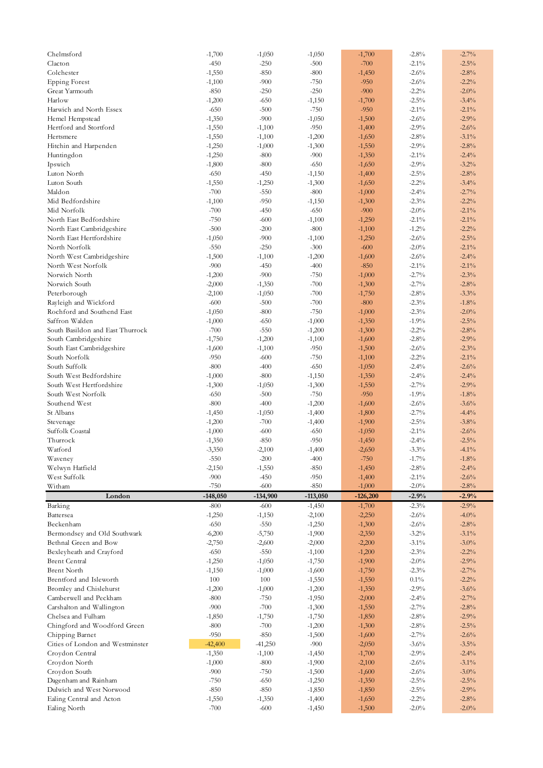| Chelmsford                               | $-1,700$           | $-1,050$           | $-1,050$             | $-1,700$             | $-2.8%$             | $-2.7%$             |
|------------------------------------------|--------------------|--------------------|----------------------|----------------------|---------------------|---------------------|
| Clacton                                  | $-450$             | $-250$             | $-500$               | $-700$               | $-2.1\%$            | $-2.5%$             |
| Colchester                               | $-1,550$           | $-850$             | $-800$               | $-1,450$             | $-2.6%$             | $-2.8%$             |
| <b>Epping Forest</b>                     | $-1,100$           | $-900$             | $-750$               | $-950$               | $-2.6%$             | $-2.2%$             |
| Great Yarmouth                           | $-850$             | $-250$             | $-250$               | $-900$               | $-2.2%$             | $-2.0\%$            |
| Harlow                                   | $-1,200$           | $-650$             | $-1,150$             | $-1,700$             | $-2.5\%$            | $-3.4%$             |
| Harwich and North Essex                  | $-650$             | $-500$             | $-750$               | $-950$               | $-2.1\%$            | $-2.1\%$            |
| Hemel Hempstead                          | $-1,350$           | $-900$             | $-1,050$             | $-1,500$             | $-2.6%$             | $-2.9%$             |
| Hertford and Stortford                   | $-1,550$           | $-1,100$           | $-950$               | $-1,400$             | $-2.9\%$            | $-2.6%$             |
| Hertsmere                                | $-1,550$           | $-1,100$           | $-1,200$             | $-1,650$             | $-2.8%$             | $-3.1\%$            |
|                                          |                    |                    |                      |                      | $-2.9%$             |                     |
| Hitchin and Harpenden                    | $-1,250$           | $-1,000$           | $-1,300$             | $-1,550$             |                     | $-2.8%$             |
| Huntingdon                               | $-1,250$           | $-800$             | $-900$               | $-1,350$             | $-2.1\%$            | $-2.4%$             |
| Ipswich                                  | $-1,800$           | $-800$             | $-650$               | $-1,650$             | $-2.9%$             | $-3.2%$             |
| Luton North                              | $-650$             | $-450$             | $-1,150$             | $-1,400$             | $-2.5%$             | $-2.8%$             |
| Luton South                              | $-1,550$           | $-1,250$           | $-1,300$             | $-1,650$             | $-2.2%$             | $-3.4%$             |
| Maldon                                   | $-700$             | $-550$             | $-800$               | $-1,000$             | $-2.4%$             | $-2.7%$             |
| Mid Bedfordshire                         | $-1,100$           | $-950$             | $-1,150$             | $-1,300$             | $-2.3%$             | $-2.2%$             |
| Mid Norfolk                              | $-700$             | $-450$             | $-650$               | $-900$               | $-2.0\%$            | $-2.1\%$            |
| North East Bedfordshire                  | $-750$             | $-600$             | $-1,100$             | $-1,250$             | $-2.1\%$            | $-2.1\%$            |
| North East Cambridgeshire                | $-500$             | $-200$             | $-800$               | $-1,100$             | $-1.2%$             | $-2.2%$             |
| North East Hertfordshire                 | $-1,050$           | $-900$             | $-1,100$             | $-1,250$             | $-2.6%$             | $-2.5%$             |
| North Norfolk                            | $-550$             | $-250$             | $-300$               | $-600$               | $-2.0\%$            | $-2.1\%$            |
| North West Cambridgeshire                | $-1,500$           | $-1,100$           | $-1,200$             | $-1,600$             | $-2.6%$             | $-2.4%$             |
| North West Norfolk                       | $-900$             | $-450$             | $-400$               | $-850$               | $-2.1\%$            | $-2.1\%$            |
| Norwich North                            |                    | $-900$             | $-750$               | $-1,000$             | $-2.7%$             | $-2.3%$             |
|                                          | $-1,200$           |                    |                      |                      |                     |                     |
| Norwich South                            | $-2,000$           | $-1,350$           | $-700$               | $-1,300$             | $-2.7%$             | $-2.8%$             |
| Peterborough                             | $-2,100$           | $-1,050$           | $-700$               | $-1,750$             | $-2.8%$             | $-3.3%$             |
| Rayleigh and Wickford                    | $-600$             | $-500$             | $-700$               | $-800$               | $-2.3%$             | $-1.8%$             |
| Rochford and Southend East               | $-1,050$           | $-800$             | $-750$               | $-1,000$             | $-2.3%$             | $-2.0\%$            |
| Saffron Walden                           | $-1,000$           | $-650$             | $-1,000$             | $-1,350$             | $-1.9%$             | $-2.5%$             |
| South Basildon and East Thurrock         | $-700$             | $-550$             | $-1,200$             | $-1,300$             | $-2.2%$             | $-2.8%$             |
| South Cambridgeshire                     | $-1,750$           | $-1,200$           | $-1,100$             | $-1,600$             | $-2.8%$             | $-2.9%$             |
| South East Cambridgeshire                | $-1,600$           | $-1,100$           | $-950$               | $-1,500$             | $-2.6%$             | $-2.3%$             |
| South Norfolk                            | $-950$             | $-600$             | $-750$               | $-1,100$             | $-2.2%$             | $-2.1\%$            |
| South Suffolk                            | $-800$             | $-400$             | $-650$               | $-1,050$             | $-2.4%$             | $-2.6%$             |
| South West Bedfordshire                  | $-1,000$           |                    |                      | $-1,350$             | $-2.4%$             | $-2.4%$             |
|                                          |                    |                    |                      |                      |                     |                     |
|                                          |                    | $-800$             | $-1,150$             |                      |                     |                     |
| South West Hertfordshire                 | $-1,300$           | $-1,050$           | $-1,300$             | $-1,550$             | $-2.7\%$            | $-2.9%$             |
| South West Norfolk                       | $-650$             | $-500$             | $-750$               | $-950$               | $-1.9\%$            | $-1.8%$             |
| Southend West                            | $-800$             | $-400$             | $-1,200$             | $-1,600$             | $-2.6%$             | $-3.6%$             |
| St Albans                                | $-1,450$           | $-1,050$           | $-1,400$             | $-1,800$             | $-2.7\%$            | $-4.4%$             |
| Stevenage                                | $-1,200$           | $-700$             | $-1,400$             | $-1,900$             | $-2.5\%$            | $-3.8%$             |
| Suffolk Coastal                          | $-1,000$           | $-600$             | $-650$               | $-1,050$             | $-2.1\%$            | $-2.6%$             |
| Thurrock                                 | $-1,350$           | $-850$             | $-950$               | $-1,450$             | $-2.4%$             | $-2.5%$             |
| Watford                                  | $-3,350$           | $-2,100$           | $-1,400$             | $-2,650$             | $-3.3\%$            | $-4.1\%$            |
| Waveney                                  | $-550$             | $-200$             | $-400$               | $-750$               | $-1.7\%$            | $\textbf{-1.8}\%$   |
| Welwyn Hatfield                          | $-2,150$           | $-1,550$           | $-850$               | $-1,450$             | $-2.8%$             | $-2.4%$             |
| West Suffolk                             | $-900$             | $-450$             | $-950$               | $-1,400$             | $-2.1\%$            | $-2.6%$             |
| Witham                                   | $-750$             | $-600$             | $-850$               | $-1,000$             | $-2.0\%$            | $-2.8%$             |
|                                          |                    |                    |                      |                      |                     |                     |
| London                                   | $-148,050$         | $-134,900$         | $-113,050$           | $-126,200$           | $-2.9%$             | $-2.9%$             |
| Barking<br>Battersea                     | $-800$             | $-600$             | $-1,450$             | $-1,700$             | $-2.3\%$            | $-2.9%$             |
|                                          | $-1,250$           | $-1,150$           | $-2,100$             | $-2,250$             | $-2.6%$             | $-4.0%$             |
| Beckenham                                | $-650$             | $-550$             | $-1,250$             | $-1,300$             | $-2.6%$             | $-2.8%$             |
| Bermondsey and Old Southwark             | $-6,200$           | $-5,750$           | $-1,900$             | $-2,350$             | $-3.2%$             | $-3.1\%$            |
| Bethnal Green and Bow                    | -2,750             | $-2,600$           | $-2,000$             | $-2,200$             | $-3.1\%$            | $-3.0\%$            |
| Bexleyheath and Crayford                 | $-650$             | $-550$             | $-1,100$             | $-1,200$             | $-2.3\%$            | $-2.2%$             |
| <b>Brent Central</b>                     | $-1,250$           | $-1,050$           | $-1,750$             | $-1,900$             | $-2.0\%$            | $-2.9%$             |
| <b>Brent North</b>                       | $-1,150$           | $-1,000$           | $-1,600$             | $-1,750$             | $-2.3%$             | $-2.7\%$            |
| Brentford and Isleworth                  | 100                | 100                | $-1,550$             | $-1,550$             | $0.1\%$             | $-2.2%$             |
| Bromley and Chislehurst                  | $-1,200$           | $-1,000$           | $-1,200$             | $-1,350$             | $-2.9%$             | $-3.6%$             |
| Camberwell and Peckham                   | $-800$             | $-750$             | $-1,950$             | $-2,000$             | $-2.4%$             | $-2.7\%$            |
| Carshalton and Wallington                | $-900$             | $-700$             | $-1,300$             | $-1,550$             | $-2.7%$             | $-2.8%$             |
| Chelsea and Fulham                       | $-1,850$           | $-1,750$           | $-1,750$             | $-1,850$             | $-2.8%$             | $-2.9%$             |
| Chingford and Woodford Green             | $-800$             | $-700$             | $-1,200$             | $-1,300$             | $-2.8\%$            | $-2.5%$             |
|                                          | $-950$             | $-850$             | $-1,500$             | $-1,600$             | $-2.7\%$            | $-2.6%$             |
| Chipping Barnet                          |                    |                    |                      |                      |                     |                     |
| Cities of London and Westminster         | $-42,400$          | -41,250            | $-900$               | $-2,050$             | $-3.6%$             | $-3.5%$             |
| Croydon Central                          | $-1,350$           | $-1,100$           | $-1,450$             | $-1,700$             | $-2.9%$             | $-2.4%$             |
| Croydon North                            | $-1,000$           | $-800$             | $-1,900$             | $-2,100$             | $-2.6%$             | $-3.1\%$            |
| Croydon South                            | $-900$             | $-750$             | $-1,500$             | $-1,600$             | $-2.6%$             | $-3.0\%$            |
| Dagenham and Rainham                     | $-750$             | $-650$             | $-1,250$             | $-1,350$             | $-2.5\%$            | $-2.5%$             |
| Dulwich and West Norwood                 | $-850$             | $-850$             | $-1,850$             | $-1,850$             | $-2.5\%$            | $-2.9%$             |
| Ealing Central and Acton<br>Ealing North | $-1,550$<br>$-700$ | $-1,350$<br>$-600$ | $-1,400$<br>$-1,450$ | $-1,650$<br>$-1,500$ | $-2.2%$<br>$-2.0\%$ | $-2.8%$<br>$-2.0\%$ |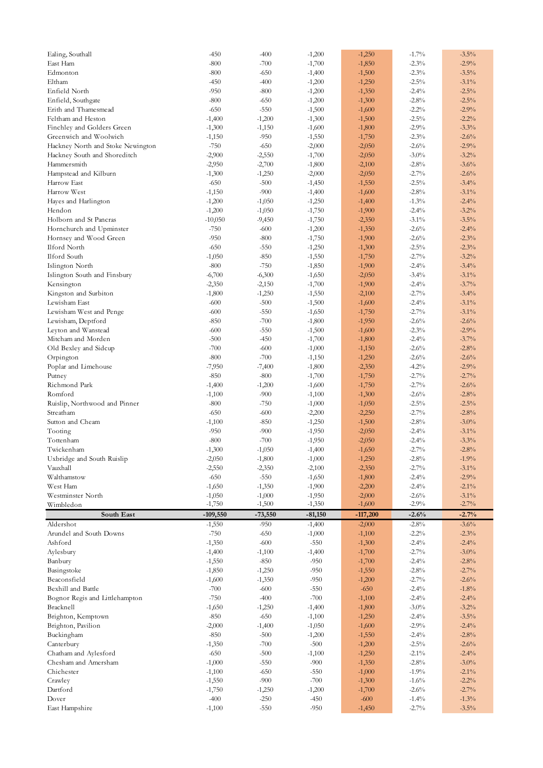| Ealing, Southall                  | $-450$     | $-400$    | $-1,200$  | $-1,250$   | $-1.7\%$ | $-3.5%$  |
|-----------------------------------|------------|-----------|-----------|------------|----------|----------|
| East Ham                          | $-800$     | $-700$    | $-1,700$  | $-1,850$   | $-2.3%$  | $-2.9%$  |
| Edmonton                          | $-800$     | $-650$    | $-1,400$  | $-1,500$   | $-2.3%$  | $-3.5%$  |
| Eltham                            | $-450$     | $-400$    | $-1,200$  | $-1,250$   | $-2.5\%$ | $-3.1\%$ |
| Enfield North                     | $-950$     | $-800$    | $-1,200$  | $-1,350$   | $-2.4%$  | $-2.5%$  |
| Enfield, Southgate                | $-800$     | $-650$    | $-1,200$  | $-1,300$   | $-2.8%$  | $-2.5%$  |
| Erith and Thamesmead              | $-650$     | $-550$    | $-1,500$  | $-1,600$   | $-2.2%$  | $-2.9%$  |
| Feltham and Heston                | $-1,400$   | $-1,200$  | $-1,300$  | $-1,500$   | $-2.5\%$ | $-2.2%$  |
| Finchley and Golders Green        | $-1,300$   | $-1,150$  | $-1,600$  | $-1,800$   | $-2.9\%$ | $-3.3%$  |
| Greenwich and Woolwich            | $-1,150$   | $-950$    | $-1,550$  | $-1,750$   | $-2.3%$  | $-2.6%$  |
| Hackney North and Stoke Newington | $-750$     | $-650$    | $-2,000$  | $-2,050$   | $-2.6%$  | $-2.9%$  |
| Hackney South and Shoreditch      | $-2,900$   | $-2,550$  | $-1,700$  | $-2,050$   | $-3.0\%$ | $-3.2%$  |
| Hammersmith                       | $-2,950$   | $-2,700$  | $-1,800$  | $-2,100$   | $-2.8\%$ | $-3.6%$  |
| Hampstead and Kilburn             | $-1,300$   | $-1,250$  | $-2,000$  | $-2,050$   | $-2.7%$  | $-2.6%$  |
| Harrow East                       | $-650$     | $-500$    | $-1,450$  | $-1,550$   | $-2.5\%$ | $-3.4%$  |
| Harrow West                       | $-1,150$   | $-900$    | $-1,400$  | $-1,600$   | $-2.8%$  | $-3.1\%$ |
| Hayes and Harlington              | $-1,200$   | $-1,050$  | $-1,250$  | $-1,400$   | $-1.3%$  | $-2.4%$  |
| Hendon                            | $-1,200$   | $-1,050$  | $-1,750$  | $-1,900$   | $-2.4%$  | $-3.2%$  |
| Holborn and St Pancras            | $-10,050$  | $-9,450$  | $-1,750$  | $-2,350$   | $-3.1\%$ | $-3.5%$  |
| Hornchurch and Upminster          | $-750$     | $-600$    | $-1,200$  | $-1,350$   | $-2.6%$  | $-2.4%$  |
|                                   |            |           |           |            |          |          |
| Hornsey and Wood Green            | $-950$     | $-800$    | $-1,750$  | $-1,900$   | $-2.6%$  | $-2.3%$  |
| Ilford North                      | $-650$     | $-550$    | $-1,250$  | $-1,300$   | $-2.5\%$ | $-2.3%$  |
| <b>Ilford South</b>               | $-1,050$   | $-850$    | $-1,550$  | $-1,750$   | $-2.7\%$ | $-3.2%$  |
| Islington North                   | $-800$     | $-750$    | $-1,850$  | $-1,900$   | $-2.4%$  | $-3.4%$  |
| Islington South and Finsbury      | $-6,700$   | $-6,300$  | $-1,650$  | $-2,050$   | $-3.4%$  | $-3.1\%$ |
| Kensington                        | $-2,350$   | $-2,150$  | $-1,700$  | $-1,900$   | $-2.4%$  | $-3.7%$  |
| Kingston and Surbiton             | $-1,800$   | $-1,250$  | $-1,550$  | $-2,100$   | $-2.7\%$ | $-3.4%$  |
| Lewisham East                     | $-600$     | $-500$    | $-1,500$  | $-1,600$   | $-2.4%$  | $-3.1\%$ |
| Lewisham West and Penge           | $-600$     | $-550$    | $-1,650$  | $-1,750$   | $-2.7\%$ | $-3.1\%$ |
| Lewisham, Deptford                | $-850$     | $-700$    | $-1,800$  | $-1,950$   | $-2.6%$  | $-2.6%$  |
| Leyton and Wanstead               | $-600$     | $-550$    | $-1,500$  | $-1,600$   | $-2.3%$  | $-2.9%$  |
| Mitcham and Morden                | $-500$     | $-450$    | $-1,700$  | $-1,800$   | $-2.4%$  | $-3.7%$  |
| Old Bexley and Sidcup             | $-700$     | $-600$    | $-1,000$  | $-1,150$   | $-2.6%$  | $-2.8%$  |
| Orpington                         | $-800$     | $-700$    | $-1,150$  | $-1,250$   | $-2.6%$  | $-2.6%$  |
| Poplar and Limehouse              | $-7,950$   | $-7,400$  | $-1,800$  | $-2,350$   | $-4.2%$  | $-2.9%$  |
| Putney                            | $-850$     | $-800$    | $-1,700$  | $-1,750$   | $-2.7\%$ | $-2.7%$  |
| Richmond Park                     | $-1,400$   | $-1,200$  | $-1,600$  | $-1,750$   | $-2.7\%$ | $-2.6%$  |
| Romford                           | $-1,100$   | $-900$    | $-1,100$  | $-1,300$   | $-2.6%$  | $-2.8%$  |
| Ruislip, Northwood and Pinner     | $-800$     | $-750$    | $-1,000$  | $-1,050$   | $-2.5\%$ | $-2.5%$  |
| Streatham                         | $-650$     | $-600$    | $-2,200$  | $-2,250$   | $-2.7\%$ | $-2.8%$  |
| Sutton and Cheam                  | $-1,100$   | $-850$    | $-1,250$  | $-1,500$   | $-2.8\%$ | $-3.0\%$ |
| Tooting                           | $-950$     | $-900$    | $-1,950$  | $-2,050$   | $-2.4%$  | $-3.1\%$ |
| Tottenham                         | $-800$     | $-700$    | $-1,950$  | $-2,050$   | $-2.4%$  | $-3.3%$  |
| Twickenham                        | $-1,300$   | $-1,050$  | $-1,400$  | $-1,650$   | $-2.7\%$ | $-2.8%$  |
| Uxbridge and South Ruislip        | $-2,050$   |           |           | $-1,250$   | $-2.8\%$ | $-1.9%$  |
| Vauxhall                          |            | $-1,800$  | $-1,000$  |            |          |          |
|                                   | $-2,550$   | $-2,350$  | $-2,100$  | $-2,350$   | $-2.7\%$ | $-3.1\%$ |
| Walthamstow                       | $-650$     | $-550$    | $-1,650$  | $-1,800$   | $-2.4%$  | $-2.9%$  |
| West Ham                          | $-1,650$   | $-1,350$  | $-1,900$  | $-2,200$   | $-2.4%$  | $-2.1\%$ |
| Westminster North                 | $-1,050$   | $-1,000$  | $-1,950$  | $-2,000$   | $-2.6%$  | $-3.1\%$ |
| Wimbledon                         | $-1,750$   | $-1,500$  | $-1,350$  | $-1,600$   | $-2.9%$  | $-2.7\%$ |
| South East                        | $-109,550$ | $-73,550$ | $-81,150$ | $-117,200$ | $-2.6%$  | $-2.7%$  |
| Aldershot                         | $-1,550$   | $-950$    | $-1,400$  | $-2,000$   | $-2.8\%$ | $-3.6%$  |
| Arundel and South Downs           | $-750$     | $-650$    | $-1,000$  | $-1,100$   | $-2.2%$  | $-2.3%$  |
| Ashford                           | $-1,350$   | $-600$    | $-550$    | $-1,300$   | $-2.4%$  | $-2.4%$  |
| Aylesbury                         | $-1,400$   | $-1,100$  | $-1,400$  | $-1,700$   | $-2.7\%$ | $-3.0\%$ |
| Banbury                           | $-1,550$   | $-850$    | $-950$    | $-1,700$   | $-2.4%$  | $-2.8%$  |
| Basingstoke                       | $-1,850$   | $-1,250$  | $-950$    | $-1,550$   | $-2.8%$  | $-2.7\%$ |
| Beaconsfield                      | $-1,600$   | $-1,350$  | $-950$    | $-1,200$   | $-2.7\%$ | $-2.6%$  |
| Bexhill and Battle                | $-700$     | $-600$    | $-550$    | $-650$     | $-2.4%$  | $-1.8\%$ |
| Bognor Regis and Littlehampton    | $-750$     | $-400$    | $-700$    | $-1,100$   | $-2.4%$  | $-2.4%$  |
| Bracknell                         | $-1,650$   | $-1,250$  | $-1,400$  | $-1,800$   | $-3.0\%$ | $-3.2%$  |
| Brighton, Kemptown                | $-850$     | $-650$    | $-1,100$  | $-1,250$   | $-2.4%$  | $-3.5%$  |
| Brighton, Pavilion                | $-2,000$   | $-1,400$  | $-1,050$  | $-1,600$   | $-2.9%$  | $-2.4%$  |
| Buckingham                        | $-850$     | $-500$    | $-1,200$  | $-1,550$   | $-2.4%$  | $-2.8%$  |
| Canterbury                        | $-1,350$   | $-700$    | $-500$    | $-1,200$   | $-2.5\%$ | $-2.6%$  |
| Chatham and Aylesford             | $-650$     | $-500$    | $-1,100$  | $-1,250$   | $-2.1\%$ | $-2.4%$  |
| Chesham and Amersham              | $-1,000$   | $-550$    | $-900$    | $-1,350$   | $-2.8%$  | $-3.0\%$ |
|                                   |            |           | $-550$    | $-1,000$   | $-1.9%$  | $-2.1\%$ |
| Chichester                        | $-1,100$   | $-650$    |           |            |          |          |
| Crawley                           | $-1,550$   | $-900$    | $-700$    | $-1,300$   | $-1.6%$  | $-2.2%$  |
| Dartford                          | $-1,750$   | $-1,250$  | $-1,200$  | $-1,700$   | $-2.6%$  | $-2.7\%$ |
| Dover                             | $-400$     | $-250$    | $-450$    | $-600$     | $-1.4%$  | $-1.3%$  |
| East Hampshire                    | $-1,100$   | $-550$    | $-950$    | $-1,450$   | $-2.7\%$ | $-3.5\%$ |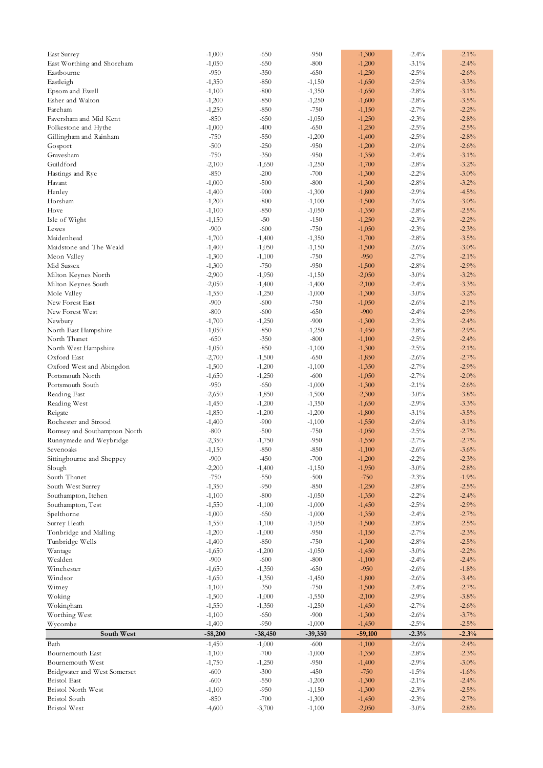| <b>East Surrey</b>                          | $-1,000$         | $-650$             | $-950$               | $-1,300$             | $-2.4%$             | $-2.1\%$            |
|---------------------------------------------|------------------|--------------------|----------------------|----------------------|---------------------|---------------------|
| East Worthing and Shoreham                  | $-1,050$         | $-650$             | $-800$               | $-1,200$             | $-3.1\%$            | $-2.4%$             |
| Eastbourne                                  | $-950$           | $-350$             | $-650$               | $-1,250$             | $-2.5\%$            | $-2.6%$             |
| Eastleigh                                   | $-1,350$         | $-850$             | $-1,150$             | $-1,650$             | $-2.5\%$            | $-3.3%$             |
| Epsom and Ewell                             | $-1,100$         | $-800$             | $-1,350$             | $-1,650$             | $-2.8%$             | $-3.1\%$            |
| Esher and Walton                            | $-1,200$         | $-850$             | $-1,250$             | $-1,600$             | $-2.8%$             | $-3.5%$             |
| Fareham                                     |                  | $-850$             | $-750$               |                      | $-2.7%$             | $-2.2%$             |
|                                             | $-1,250$         |                    |                      | $-1,150$             |                     |                     |
| Faversham and Mid Kent                      | $-850$           | $-650$             | $-1,050$             | $-1,250$             | $-2.3\%$            | $-2.8%$             |
| Folkestone and Hythe                        | $-1,000$         | $-400$             | $-650$               | $-1,250$             | $-2.5\%$            | $-2.5%$             |
| Gillingham and Rainham                      | $-750$           | $-550$             | $-1,200$             | $-1,400$             | $-2.5\%$            | $-2.8%$             |
| Gosport                                     | $-500$           | $-250$             | $-950$               | $-1,200$             | $-2.0\%$            | $-2.6%$             |
| Gravesham                                   | $-750$           | $-350$             | $-950$               | $-1,350$             | $-2.4%$             | $-3.1\%$            |
| Guildford                                   | $-2,100$         | $-1,650$           | $-1,250$             | $-1,700$             | $-2.8%$             | $-3.2%$             |
| Hastings and Rye                            | $-850$           | $-200$             | $-700$               | $-1,300$             | $-2.2%$             | $-3.0\%$            |
| Havant                                      | $-1,000$         | $-500$             | $-800$               | $-1,300$             | $-2.8%$             | $-3.2%$             |
| Henley                                      | $-1,400$         | $-900$             | $-1,300$             | $-1,800$             | $-2.9%$             | $-4.5%$             |
| Horsham                                     | $-1,200$         | $-800$             | $-1,100$             | $-1,500$             | $-2.6%$             | $-3.0\%$            |
|                                             |                  |                    |                      |                      |                     |                     |
| Hove                                        | $-1,100$         | $-850$             | $-1,050$             | $-1,350$             | $-2.8%$             | $-2.5%$             |
| Isle of Wight                               | $-1,150$         | $-50$              | $-150$               | $-1,250$             | $-2.3%$             | $-2.2%$             |
| Lewes                                       | $-900$           | $-600$             | $-750$               | $-1,050$             | $-2.3%$             | $-2.3%$             |
| Maidenhead                                  | $-1,700$         | $-1,400$           | $-1,350$             | $-1,700$             | $-2.8%$             | $-3.5%$             |
| Maidstone and The Weald                     | $-1,400$         | $-1,050$           | $-1,150$             | $-1,500$             | $-2.6%$             | $-3.0\%$            |
| Meon Valley                                 | $-1,300$         | $-1,100$           | $-750$               | $-950$               | $-2.7%$             | $-2.1\%$            |
| Mid Sussex                                  | $-1,300$         | $-750$             | $-950$               | $-1,500$             | $-2.8%$             | $-2.9%$             |
| Milton Keynes North                         | $-2,900$         | $-1,950$           | $-1,150$             | $-2,050$             | $-3.0\%$            | $-3.2%$             |
| Milton Keynes South                         | $-2,050$         | $-1,400$           | $-1,400$             | $-2,100$             | $-2.4%$             | $-3.3%$             |
| Mole Valley                                 | $-1,550$         | $-1,250$           | $-1,000$             | $-1,300$             | $-3.0\%$            | $-3.2%$             |
| New Forest East                             | $-900$           | $-600$             | $-750$               | $-1,050$             | $-2.6%$             | $-2.1\%$            |
|                                             |                  |                    |                      |                      |                     |                     |
| New Forest West                             | $-800$           | $-600$             | $-650$               | $-900$               | $-2.4%$             | $-2.9%$             |
| Newbury                                     | $-1,700$         | $-1,250$           | $-900$               | $-1,300$             | $-2.3\%$            | $-2.4%$             |
| North East Hampshire                        | $-1,050$         | $-850$             | $-1,250$             | $-1,450$             | $-2.8%$             | $-2.9%$             |
| North Thanet                                | $-650$           | $-350$             | $-800$               | $-1,100$             | $-2.5\%$            | $-2.4%$             |
| North West Hampshire                        | $-1,050$         | $-850$             | $-1,100$             | $-1,300$             | $-2.5\%$            | $-2.1\%$            |
| Oxford East                                 | $-2,700$         | $-1,500$           | $-650$               | $-1,850$             | $-2.6%$             | $-2.7%$             |
| Oxford West and Abingdon                    | $-1,500$         | $-1,200$           | $-1,100$             | $-1,350$             | $-2.7\%$            | $-2.9%$             |
| Portsmouth North                            | $-1,650$         | $-1,250$           | $-600$               | $-1,050$             | $-2.7%$             | $-2.0\%$            |
| Portsmouth South                            | $-950$           | $-650$             | $-1,000$             | $-1,300$             | $-2.1\%$            | $-2.6%$             |
| Reading East                                | $-2,650$         | $-1,850$           | $-1,500$             | $-2,300$             | $-3.0\%$            | $-3.8%$             |
|                                             |                  |                    |                      |                      | $-2.9%$             | $-3.3%$             |
| Reading West                                | $-1,450$         | $-1,200$           | $-1,350$             | $-1,650$             |                     |                     |
| Reigate                                     | $-1,850$         | $-1,200$           | $-1,200$             | $-1,800$             | $-3.1\%$            | $-3.5%$             |
| Rochester and Strood                        | $-1,400$         | $-900$             | $-1,100$             | $-1,550$             | $-2.6%$             | $-3.1\%$            |
| Romsey and Southampton North                | $-800$           | $-500$             | $-750$               | $-1,050$             | $-2.5\%$            | $-2.7%$             |
| Runnymede and Weybridge                     | $-2,350$         | $-1,750$           | $-950$               | $-1,550$             | $-2.7\%$            | $-2.7%$             |
| Sevenoaks                                   | $-1,150$         | $-850$             | $-850$               | $-1,100$             | $-2.6%$             | $-3.6%$             |
| Sittingbourne and Sheppey                   | $-900$           | $-450$             | $-700$               | $-1,200$             | $-2.2\%$            | $-2.3%$             |
| Slough                                      | $-2,200$         | $-1,400$           | $-1,150$             | $-1,950$             | $-3.0\%$            | $-2.8%$             |
| South Thanet                                | $-750$           | $-550$             | $-500$               | $-750$               | $-2.3%$             | $-1.9%$             |
| South West Surrey                           | $-1,350$         | $-950$             | $-850$               | $-1,250$             | $-2.8%$             | $-2.5%$             |
| Southampton, Itchen                         | $-1,100$         | $-800$             | $-1,050$             | $-1,350$             | $-2.2%$             | $-2.4%$             |
|                                             |                  |                    |                      |                      |                     |                     |
| Southampton, Test                           | $-1,550$         | $-1,100$           | $-1,000$             | $-1,450$             | $-2.5\%$            | $-2.9%$             |
| Spelthorne                                  | $-1,000$         | $-650$             | $-1,000$             | $-1,350$             | $-2.4%$             | $-2.7%$             |
| Surrey Heath                                | $-1,550$         | $-1,100$           | $-1,050$             | $-1,500$             | $-2.8%$             | $-2.5%$             |
| Tonbridge and Malling                       | $-1,200$         | $-1,000$           | $-950$               | $-1,150$             | $-2.7\%$            | $-2.3%$             |
| Tunbridge Wells                             | $-1,400$         | $-850$             | $-750$               | $-1,300$             | $-2.8%$             | $-2.5%$             |
| Wantage                                     | $-1,650$         | $-1,200$           | $-1,050$             | $-1,450$             | $-3.0\%$            | $-2.2%$             |
| Wealden                                     | $-900$           | $-600$             | $-800$               | $-1,100$             | $-2.4%$             | $-2.4\%$            |
| Winchester                                  |                  |                    |                      |                      |                     |                     |
|                                             |                  |                    |                      |                      |                     |                     |
|                                             | $-1,650$         | $-1,350$           | $-650$               | $-950$               | $-2.6%$             | $-1.8%$             |
| Windsor                                     | $-1,650$         | $-1,350$           | $-1,450$             | $-1,800$             | $-2.6%$             | $-3.4%$             |
| Witney                                      | $-1,100$         | $-350$             | $-750$               | $-1,500$             | $-2.4%$             | $-2.7%$             |
| Woking                                      | $-1,500$         | $-1,000$           | $-1,550$             | $-2,100$             | $-2.9%$             | $-3.8%$             |
| Wokingham                                   | $-1,550$         | $-1,350$           | $-1,250$             | $-1,450$             | $-2.7\%$            | $-2.6%$             |
| Worthing West                               | $-1,100$         | $-650$             | $-900$               | $-1,300$             | $-2.6%$             | $-3.7%$             |
| Wycombe                                     | $-1,400$         | $-950$             | $-1,000$             | $-1,450$             | $-2.5\%$            | $-2.5%$             |
| South West                                  | $-58,200$        | $-38,450$          | $-39,350$            | $-59,100$            | $-2.3%$             | $-2.3%$             |
| Bath                                        | $-1,450$         | $-1,000$           | $-600$               | $-1,100$             | $-2.6%$             | $-2.4%$             |
| Bournemouth East                            | $-1,100$         | $-700$             | $-1,000$             | $-1,350$             | $-2.8%$             | $-2.3%$             |
| Bournemouth West                            | $-1,750$         | $-1,250$           | $-950$               | $-1,400$             | $-2.9%$             | $-3.0\%$            |
| Bridgwater and West Somerset                | $-600$           | $-300$             | $-450$               | $-750$               | $-1.5\%$            | $-1.6%$             |
|                                             |                  |                    |                      |                      |                     |                     |
| <b>Bristol</b> East                         | $-600$           | $-550$             | $-1,200$             | $-1,300$             | $-2.1\%$            | $-2.4\%$            |
| <b>Bristol North West</b>                   | $-1,100$         | $-950$             | $-1,150$             | $-1,300$             | $-2.3%$             | $-2.5%$             |
| <b>Bristol</b> South<br><b>Bristol</b> West | $-850$<br>-4,600 | $-700$<br>$-3,700$ | $-1,300$<br>$-1,100$ | $-1,450$<br>$-2,050$ | $-2.3%$<br>$-3.0\%$ | $-2.7\%$<br>$-2.8%$ |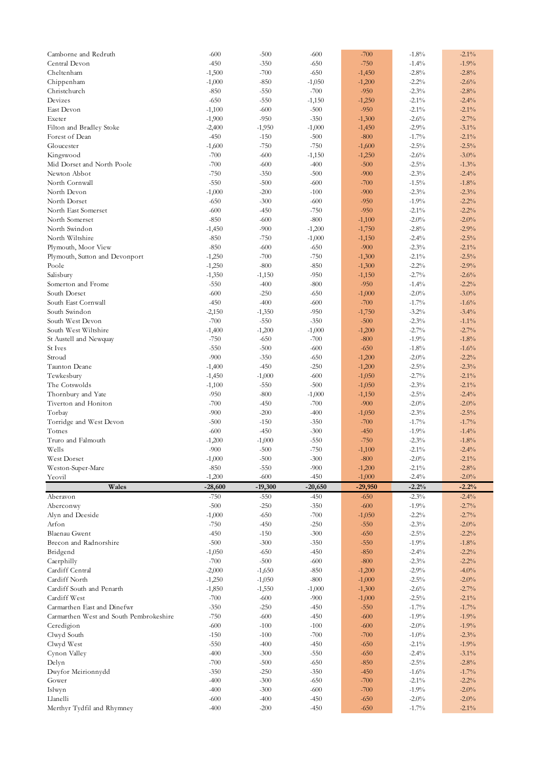| Camborne and Redruth                    | $-600$           | $-500$    | $-600$    | $-700$   | $-1.8%$              | $-2.1\%$ |
|-----------------------------------------|------------------|-----------|-----------|----------|----------------------|----------|
| Central Devon                           | $-450$           | $-350$    | $-650$    | $-750$   | $-1.4%$              | $-1.9%$  |
| Cheltenham                              | $-1,500$         | $-700$    | $-650$    | $-1,450$ | $-2.8%$              | $-2.8%$  |
| Chippenham                              | $-1,000$         | $-850$    | $-1,050$  | $-1,200$ | $-2.2%$              | $-2.6%$  |
| Christchurch                            | $-850$           | $-550$    | $-700$    | $-950$   | $-2.3%$              | $-2.8%$  |
| Devizes                                 | $-650$           | $-550$    | $-1,150$  | $-1,250$ | $-2.1\%$             | $-2.4%$  |
| East Devon                              | $-1,100$         | $-600$    | $-500$    | $-950$   | $-2.1\%$             | $-2.1\%$ |
| Exeter                                  | $-1,900$         | $-950$    | $-350$    | $-1,300$ | $-2.6%$              | $-2.7%$  |
|                                         |                  |           |           |          |                      |          |
| Filton and Bradley Stoke                | $-2,400$         | $-1,950$  | $-1,000$  | $-1,450$ | $-2.9\%$             | $-3.1\%$ |
| Forest of Dean                          | $-450$           | $-150$    | $-500$    | $-800$   | $-1.7%$              | $-2.1\%$ |
| Gloucester                              | $-1,600$         | $-750$    | $-750$    | $-1,600$ | $-2.5\%$             | $-2.5%$  |
| Kingswood                               | $-700$           | $-600$    | $-1,150$  | $-1,250$ | $-2.6%$              | $-3.0\%$ |
| Mid Dorset and North Poole              | $-700$           | $-600$    | $-400$    | $-500$   | $-2.5\%$             | $-1.3%$  |
| Newton Abbot                            | $-750$           | $-350$    | $-500$    | $-900$   | $-2.3%$              | $-2.4%$  |
| North Cornwall                          | $-550$           | $-500$    | $-600$    | $-700$   | $-1.5\%$             | $-1.8%$  |
| North Devon                             | $-1,000$         | $-200$    | $-100$    | $-900$   | $-2.3%$              | $-2.3%$  |
| North Dorset                            | $-650$           | $-300$    | $-600$    | $-950$   | $-1.9%$              | $-2.2%$  |
| North East Somerset                     | $-600$           | $-450$    | $-750$    | $-950$   | $-2.1\%$             | $-2.2%$  |
| North Somerset                          | $-850$           | $-600$    | $-800$    | $-1,100$ | $-2.0\%$             | $-2.0\%$ |
|                                         |                  |           |           |          |                      |          |
| North Swindon                           | $-1,450$         | $-900$    | $-1,200$  | $-1,750$ | $-2.8%$              | $-2.9%$  |
| North Wiltshire                         | $-850$           | $-750$    | $-1,000$  | $-1,150$ | $-2.4%$              | $-2.5%$  |
| Plymouth, Moor View                     | $-850$           | $-600$    | $-650$    | $-900$   | $-2.3%$              | $-2.1\%$ |
| Plymouth, Sutton and Devonport          | $-1,250$         | $-700$    | $-750$    | $-1,300$ | $-2.1\%$             | $-2.5%$  |
| Poole                                   | $-1,250$         | $-800$    | $-850$    | $-1,300$ | $-2.2%$              | $-2.9%$  |
| Salisbury                               | $-1,350$         | $-1,150$  | $-950$    | $-1,150$ | $-2.7\%$             | $-2.6%$  |
| Somerton and Frome                      | $-550$           | $-400$    | $-800$    | $-950$   | $-1.4%$              | $-2.2%$  |
| South Dorset                            | $-600$           | $-250$    | $-650$    | $-1,000$ | $-2.0\%$             | $-3.0%$  |
| South East Cornwall                     | $-450$           | $-400$    | $-600$    | $-700$   | $-1.7%$              | $-1.6%$  |
| South Swindon                           | $-2,150$         | $-1,350$  | $-950$    | $-1,750$ | $-3.2\%$             | $-3.4%$  |
| South West Devon                        | $-700$           | $-550$    | $-350$    | $-500$   | $-2.3%$              | $-1.1\%$ |
|                                         |                  |           |           |          |                      |          |
| South West Wiltshire                    | $-1,400$         | $-1,200$  | $-1,000$  | $-1,200$ | $-2.7%$              | $-2.7%$  |
| St Austell and Newquay                  | $-750$           | $-650$    | $-700$    | $-800$   | $-1.9%$              | $-1.8%$  |
| St Ives                                 | $-550$           | $-500$    | $-600$    | $-650$   | $-1.8%$              | $-1.6%$  |
| Stroud                                  | $-900$           | $-350$    | $-650$    | $-1,200$ | $-2.0\%$             | $-2.2%$  |
| Taunton Deane                           | $-1,400$         | $-450$    | $-250$    | $-1,200$ | $-2.5\%$             | $-2.3%$  |
| Tewkesbury                              | $-1,450$         | $-1,000$  | $-600$    | $-1,050$ | $-2.7%$              | $-2.1\%$ |
| The Cotswolds                           | $-1,100$         | $-550$    | $-500$    | $-1,050$ | $-2.3%$              | $-2.1\%$ |
| Thornbury and Yate                      | $-950$           | $-800$    | $-1,000$  | $-1,150$ | $-2.5%$              | $-2.4%$  |
| Tiverton and Honiton                    | $-700$           | $-450$    | $-700$    | $-900$   | $-2.0\%$             | $-2.0%$  |
| Torbay                                  | $-900$           | $-200$    | $-400$    | $-1,050$ | $-2.3%$              | $-2.5%$  |
| Torridge and West Devon                 | $-500$           | $-150$    | $-350$    | $-700$   | $-1.7\%$             | $-1.7%$  |
| Totnes                                  | $-600$           | $-450$    | $-300$    | $-450$   | $-1.9%$              | $-1.4%$  |
| Truro and Falmouth                      |                  |           |           | $-750$   |                      |          |
|                                         | $-1,200$         | $-1,000$  | $-550$    |          | $-2.3%$              | $-1.8\%$ |
| Wells                                   | $-900$           | $-500$    | $-750$    | $-1,100$ | $-2.1\%$             | $-2.4%$  |
| West Dorset                             | $-1,000$         | $-500$    | $-300$    | $-800$   | $-2.0\%$             | $-2.1\%$ |
| Weston-Super-Mare                       | $-850$           | $-550$    | $-900$    | $-1,200$ | $-2.1\%$             | $-2.8%$  |
| Yeovil                                  | $-1,200$         | $-600$    | $-450$    | $-1,000$ | $-2.4%$              | $-2.0\%$ |
| Wales                                   | $-28,600$        | $-19,300$ | $-20,650$ | -29,950  | $-2.2%$              | $-2.2%$  |
| Aberavon                                | $-750$           | $-550$    | $-450$    | $-650$   | $-2.3\%$             | $-2.4\%$ |
| Aberconwy                               | $-500$           | $-250$    | $-350$    | $-600$   | $-1.9%$              | $-2.7%$  |
| Alyn and Deeside                        | $-1,000$         | $-650$    | $-700$    | $-1,050$ | $-2.2%$              | $-2.7\%$ |
| Arfon                                   | $-750$           | $-450$    | $-250$    | $-550$   | $-2.3%$              | $-2.0%$  |
| <b>Blaenau Gwent</b>                    | $-450$           | $-150$    | $-300$    | $-650$   | $-2.5\%$             | $-2.2%$  |
|                                         |                  |           |           |          |                      |          |
| Brecon and Radnorshire                  | $-500$           | $-300$    | $-350$    | $-550$   | $-1.9%$              | $-1.8\%$ |
| Bridgend                                | $-1,050$         | $-650$    | $-450$    | $-850$   | $-2.4%$              | $-2.2%$  |
| Caerphilly                              | $-700$           | $-500$    | $-600$    | $-800$   | $-2.3%$              | $-2.2%$  |
| Cardiff Central                         | $-2,000$         | $-1,650$  | $-850$    | $-1,200$ | $-2.9%$              | $-4.0%$  |
| Cardiff North                           | $-1,250$         | $-1,050$  | $-800$    | $-1,000$ | $-2.5\%$             | $-2.0\%$ |
| Cardiff South and Penarth               |                  |           |           |          |                      |          |
| Cardiff West                            | $-1,850$         | $-1,550$  | $-1,000$  | $-1,300$ | $-2.6%$              | $-2.7%$  |
| Carmarthen East and Dinefwr             |                  |           |           |          |                      |          |
|                                         | $-700$<br>$-350$ | $-600$    | $-900$    | $-1,000$ | $-2.5\%$<br>$-1.7\%$ | $-2.1\%$ |
|                                         |                  | $-250$    | $-450$    | $-550$   |                      | $-1.7%$  |
| Carmarthen West and South Pembrokeshire | $-750$           | $-600$    | $-450$    | $-600$   | $-1.9%$              | $-1.9%$  |
| Ceredigion                              | $-600$           | $-100$    | $-100$    | $-600$   | $-2.0\%$             | $-1.9%$  |
| Clwyd South                             | $-150$           | $-100$    | $-700$    | $-700$   | $-1.0\%$             | $-2.3%$  |
| Clwyd West                              | $-550$           | $-400$    | $-450$    | $-650$   | $-2.1\%$             | $-1.9%$  |
| Cynon Valley                            | $-400$           | $-300$    | $-550$    | $-650$   | $-2.4%$              | $-3.1\%$ |
| Delyn                                   | $-700$           | $-500$    | $-650$    | $-850$   | $-2.5\%$             | $-2.8%$  |
| Dwyfor Meirionnydd                      | $-350$           | $-250$    | $-350$    | $-450$   | $-1.6%$              | $-1.7%$  |
| Gower                                   | $-400$           | $-300$    | $-650$    | $-700$   | $-2.1\%$             | $-2.2%$  |
| Islwyn                                  | $-400$           | $-300$    | $-600$    | $-700$   | $-1.9%$              | $-2.0\%$ |
| Llanelli                                | $-600$           | $-400$    | $-450$    | $-650$   | $-2.0\%$             | $-2.0%$  |
| Merthyr Tydfil and Rhymney              | $-400$           | $-200$    | $-450$    | $-650$   | $-1.7\%$             | $-2.1\%$ |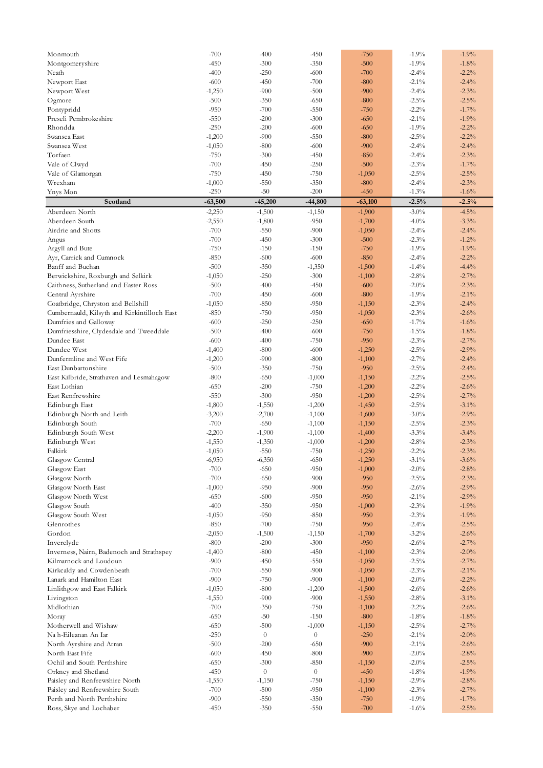| Monmouth                                    | $-700$    | $-400$         | $-450$         | $-750$    | $-1.9%$  | $-1.9%$  |
|---------------------------------------------|-----------|----------------|----------------|-----------|----------|----------|
| Montgomeryshire                             | $-450$    | $-300$         | $-350$         | $-500$    | $-1.9%$  | $-1.8%$  |
| Neath                                       | $-400$    | $-250$         | $-600$         | $-700$    | $-2.4%$  | $-2.2%$  |
| Newport East                                | $-600$    | $-450$         | $-700$         | $-800$    | $-2.1\%$ | $-2.4%$  |
| Newport West                                | $-1,250$  | $-900$         | $-500$         | $-900$    | $-2.4%$  | $-2.3%$  |
| Ogmore                                      | $-500$    | $-350$         | $-650$         | $-800$    | $-2.5\%$ | $-2.5%$  |
| Pontypridd                                  | $-950$    | $-700$         | $-550$         | $-750$    | $-2.2%$  | $-1.7%$  |
| Preseli Pembrokeshire                       | $-550$    | $-200$         | $-300$         | $-650$    | $-2.1\%$ | $-1.9%$  |
| Rhondda                                     | $-250$    | $-200$         | $-600$         | $-650$    | $-1.9%$  | $-2.2%$  |
| Swansea East                                |           | $-900$         | $-550$         | $-800$    | $-2.5\%$ | $-2.2%$  |
| Swansea West                                | $-1,200$  |                |                |           |          |          |
|                                             | $-1,050$  | $-800$         | $-600$         | $-900$    | $-2.4%$  | $-2.4%$  |
| Torfaen                                     | $-750$    | $-300$         | $-450$         | $-850$    | $-2.4%$  | $-2.3%$  |
| Vale of Clwyd                               | $-700$    | $-450$         | $-250$         | $-500$    | $-2.3\%$ | $-1.7%$  |
| Vale of Glamorgan                           | $-750$    | $-450$         | $-750$         | $-1,050$  | $-2.5\%$ | $-2.5%$  |
| Wrexham                                     | $-1,000$  | $-550$         | $-350$         | $-800$    | $-2.4%$  | $-2.3%$  |
| Ynys Mon                                    | $-250$    | $-50$          | $-200$         | $-450$    | $-1.3%$  | $-1.6%$  |
| Scotland                                    | $-63,500$ | $-45,200$      | $-44,800$      | $-63,100$ | $-2.5%$  | $-2.5%$  |
| Aberdeen North                              | $-2,250$  | $-1,500$       | $-1,150$       | $-1,900$  | $-3.0\%$ | $-4.5%$  |
| Aberdeen South                              | $-2,550$  | $-1,800$       | $-950$         | $-1,700$  | $-4.0%$  | $-3.3%$  |
| Airdrie and Shotts                          | $-700$    | $-550$         | $-900$         | $-1,050$  | $-2.4%$  | $-2.4%$  |
| Angus                                       | $-700$    | $-450$         | $-300$         | $-500$    | $-2.3\%$ | $-1.2%$  |
| Argyll and Bute                             | $-750$    | $-150$         | $-150$         | $-750$    | $-1.9%$  | $-1.9%$  |
| Ayr, Carrick and Cumnock                    | $-850$    | $-600$         | $-600$         | $-850$    | $-2.4%$  | $-2.2%$  |
| Banff and Buchan                            | $-500$    | $-350$         | $-1,350$       | $-1,500$  | $-1.4%$  | $-4.4%$  |
| Berwickshire, Roxburgh and Selkirk          | $-1,050$  | $-250$         | $-300$         | $-1,100$  | $-2.8\%$ | $-2.7%$  |
| Caithness, Sutherland and Easter Ross       | $-500$    | $-400$         | $-450$         | $-600$    | $-2.0\%$ | $-2.3%$  |
| Central Ayrshire                            | $-700$    | $-450$         | $-600$         | $-800$    | $-1.9%$  | $-2.1\%$ |
| Coatbridge, Chryston and Bellshill          | $-1,050$  | $-850$         | $-950$         | $-1,150$  | $-2.3%$  | $-2.4%$  |
| Cumbernauld, Kilsyth and Kirkintilloch East | $-850$    | $-750$         | $-950$         | $-1,050$  | $-2.3%$  | $-2.6%$  |
| Dumfries and Galloway                       | $-600$    | $-250$         | $-250$         | $-650$    | $-1.7\%$ | $-1.6%$  |
|                                             |           |                |                |           |          |          |
| Dumfriesshire, Clydesdale and Tweeddale     | $-500$    | $-400$         | $-600$         | $-750$    | $-1.5\%$ | $-1.8%$  |
| Dundee East                                 | $-600$    | $-400$         | $-750$         | $-950$    | $-2.3%$  | $-2.7%$  |
| Dundee West                                 | $-1,400$  | $-800$         | $-600$         | $-1,250$  | $-2.5\%$ | $-2.9%$  |
| Dunfermline and West Fife                   | $-1,200$  | $-900$         | $-800$         | $-1,100$  | $-2.7\%$ | $-2.4%$  |
| East Dunbartonshire                         | $-500$    | $-350$         | $-750$         | $-950$    | $-2.5\%$ | $-2.4%$  |
| East Kilbride, Strathaven and Lesmahagow    | $-800$    | $-650$         | $-1,000$       | $-1,150$  | $-2.2%$  | $-2.5%$  |
| East Lothian                                | $-650$    | $-200$         | $-750$         | $-1,200$  | $-2.2%$  | $-2.6%$  |
| East Renfrewshire                           | $-550$    | $-300$         | $-950$         | $-1,200$  | $-2.5\%$ | $-2.7%$  |
| Edinburgh East                              | $-1,800$  | $-1,550$       | $-1,200$       | $-1,450$  | $-2.5\%$ | $-3.1\%$ |
| Edinburgh North and Leith                   | $-3,200$  | $-2,700$       | $-1,100$       | $-1,600$  | $-3.0\%$ | $-2.9%$  |
| Edinburgh South                             | $-700$    | $-650$         | $-1,100$       | $-1,150$  | $-2.5\%$ | $-2.3%$  |
| Edinburgh South West                        | $-2,200$  | $-1,900$       | $-1,100$       | $-1,400$  | $-3.3%$  | $-3.4%$  |
| Edinburgh West                              | $-1,550$  | $-1,350$       | $-1,000$       | $-1,200$  | $-2.8\%$ | $-2.3%$  |
| Falkirk                                     | $-1,050$  | $-550$         | $-750$         | $-1,250$  | $-2.2%$  | $-2.3%$  |
| Glasgow Central                             | $-6,950$  | $-6,350$       | $-650$         | $-1,250$  | $-3.1\%$ | $-3.6%$  |
| Glasgow East                                | $-700$    | $-650$         | $-950$         | $-1,000$  | $-2.0\%$ | $-2.8%$  |
| Glasgow North                               | $-700$    | $-650$         | $-900$         | $-950$    | $-2.5\%$ | $-2.3%$  |
| Glasgow North East                          | $-1,000$  | $-950$         | $-900$         | $-950$    | $-2.6%$  | $-2.9%$  |
| Glasgow North West                          | $-650$    | $-600$         | $-950$         | $-950$    | $-2.1\%$ | $-2.9%$  |
| Glasgow South                               | $-400$    | $-350$         | $-950$         | $-1,000$  | $-2.3%$  | $-1.9%$  |
| Glasgow South West                          | $-1,050$  | $-950$         | $-850$         | $-950$    | $-2.3%$  | $-1.9%$  |
| Glenrothes                                  | $-850$    | $-700$         | $-750$         | $-950$    | $-2.4%$  | $-2.5%$  |
| Gordon                                      | $-2,050$  | $-1,500$       | $-1,150$       | $-1,700$  | $-3.2%$  | $-2.6%$  |
| Inverclyde                                  | $-800$    | $-200$         | $-300$         | $-950$    | $-2.6%$  | $-2.7%$  |
|                                             |           | $-800$         | $-450$         | $-1,100$  | $-2.3%$  | $-2.0%$  |
| Inverness, Nairn, Badenoch and Strathspey   | $-1,400$  |                |                |           |          |          |
| Kilmarnock and Loudoun                      | $-900$    | $-450$         | $-550$         | $-1,050$  | $-2.5\%$ | $-2.7%$  |
| Kirkcaldy and Cowdenbeath                   | $-700$    | $-550$         | $-900$         | $-1,050$  | $-2.3%$  | $-2.1\%$ |
| Lanark and Hamilton East                    | $-900$    | $-750$         | $-900$         | $-1,100$  | $-2.0\%$ | $-2.2%$  |
| Linlithgow and East Falkirk                 | $-1,050$  | $-800$         | $-1,200$       | $-1,500$  | $-2.6%$  | $-2.6%$  |
| Livingston                                  | $-1,550$  | $-900$         | $-900$         | $-1,550$  | $-2.8\%$ | $-3.1\%$ |
| Midlothian                                  | $-700$    | $-350$         | $-750$         | $-1,100$  | $-2.2%$  | $-2.6%$  |
| Moray                                       | $-650$    | $-50$          | $-150$         | $-800$    | $-1.8\%$ | $-1.8%$  |
| Motherwell and Wishaw                       | $-650$    | $-500$         | $-1,000$       | $-1,150$  | $-2.5\%$ | $-2.7%$  |
| Na h-Eileanan An Iar                        | $-250$    | $\overline{0}$ | $\overline{0}$ | $-250$    | $-2.1\%$ | $-2.0%$  |
| North Ayrshire and Arran                    | $-500$    | $-200$         | $-650$         | $-900$    | $-2.1\%$ | $-2.6%$  |
| North East Fife                             | $-600$    | $-450$         | $-800$         | $-900$    | $-2.0\%$ | $-2.8%$  |
| Ochil and South Perthshire                  | $-650$    | $-300$         | $-850$         | $-1,150$  | $-2.0\%$ | $-2.5%$  |
| Orkney and Shetland                         | $-450$    | $\overline{0}$ | $\overline{0}$ | $-450$    | $-1.8%$  | $-1.9%$  |
| Paisley and Renfrewshire North              | $-1,550$  | $-1,150$       | $-750$         | $-1,150$  | $-2.9%$  | $-2.8%$  |
| Paisley and Renfrewshire South              | $-700$    | $-500$         | $-950$         | $-1,100$  | $-2.3%$  | $-2.7%$  |
| Perth and North Perthshire                  | $-900$    | $-550$         | $-350$         | $-750$    | $-1.9\%$ | $-1.7%$  |
| Ross, Skye and Lochaber                     | $-450$    | $-350$         | $-550$         | $-700$    | $-1.6\%$ | $-2.5%$  |